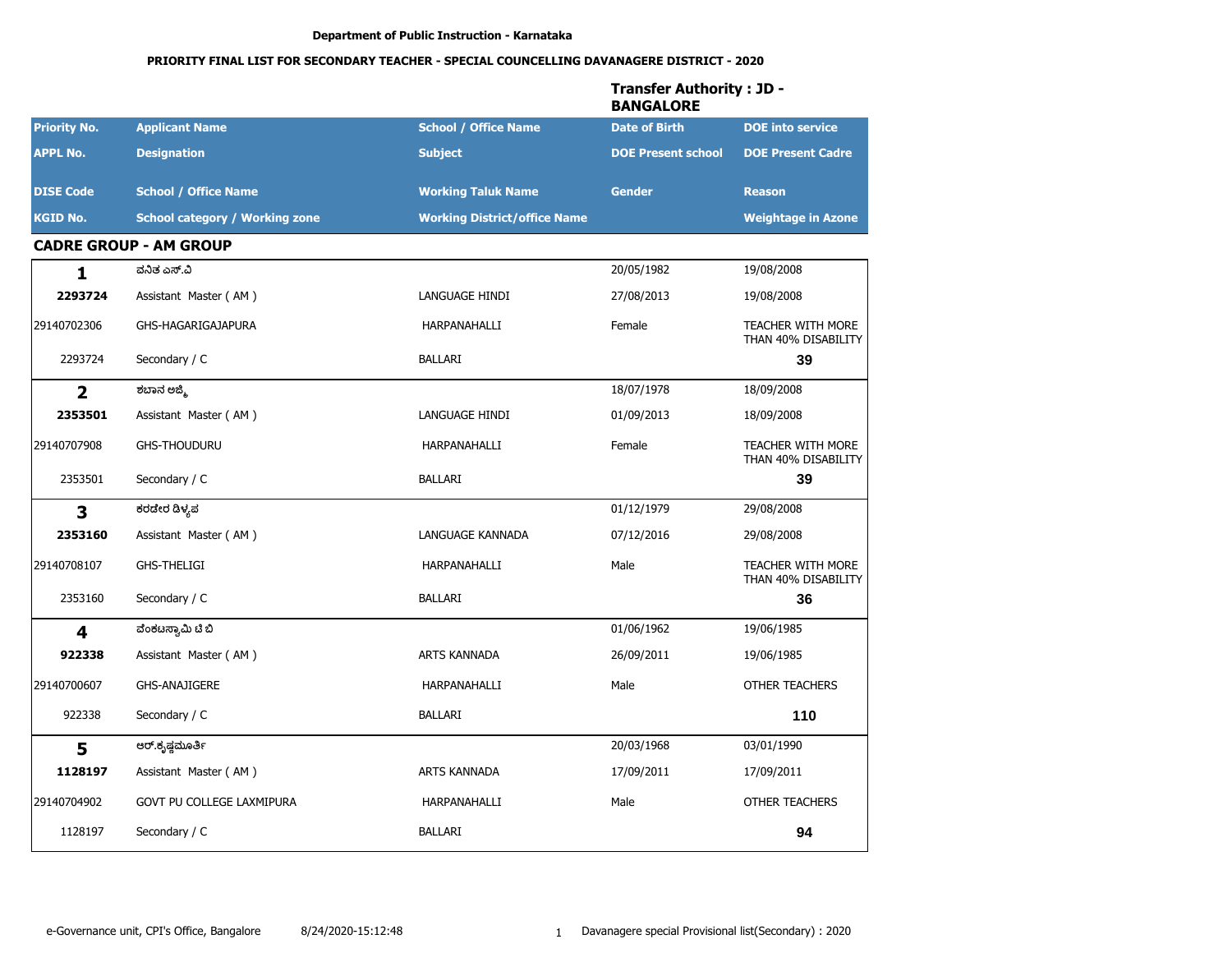|                         |                                       |                                     | <b>Transfer Authority: JD -</b><br><b>BANGALORE</b> |                                                 |  |
|-------------------------|---------------------------------------|-------------------------------------|-----------------------------------------------------|-------------------------------------------------|--|
| <b>Priority No.</b>     | <b>Applicant Name</b>                 | <b>School / Office Name</b>         | <b>Date of Birth</b>                                | <b>DOE</b> into service                         |  |
| <b>APPL No.</b>         | <b>Designation</b>                    | <b>Subject</b>                      | <b>DOE Present school</b>                           | <b>DOE Present Cadre</b>                        |  |
| <b>DISE Code</b>        | <b>School / Office Name</b>           | <b>Working Taluk Name</b>           | <b>Gender</b>                                       | <b>Reason</b>                                   |  |
| <b>KGID No.</b>         | <b>School category / Working zone</b> | <b>Working District/office Name</b> |                                                     | <b>Weightage in Azone</b>                       |  |
|                         | <b>CADRE GROUP - AM GROUP</b>         |                                     |                                                     |                                                 |  |
| 1                       | ವನಿತ ಎಸ್.ವಿ                           |                                     | 20/05/1982                                          | 19/08/2008                                      |  |
| 2293724                 | Assistant Master (AM)                 | LANGUAGE HINDI                      | 27/08/2013                                          | 19/08/2008                                      |  |
| 29140702306             | GHS-HAGARIGAJAPURA                    | HARPANAHALLI                        | Female                                              | <b>TEACHER WITH MORE</b><br>THAN 40% DISABILITY |  |
| 2293724                 | Secondary / C                         | <b>BALLARI</b>                      |                                                     | 39                                              |  |
| $\overline{2}$          | ಶಬಾನ ಅಜ್ಮಿ                            |                                     | 18/07/1978                                          | 18/09/2008                                      |  |
| 2353501                 | Assistant Master (AM)                 | LANGUAGE HINDI                      | 01/09/2013                                          | 18/09/2008                                      |  |
| 29140707908             | <b>GHS-THOUDURU</b>                   | HARPANAHALLI                        | Female                                              | <b>TEACHER WITH MORE</b><br>THAN 40% DISABILITY |  |
| 2353501                 | Secondary / C                         | <b>BALLARI</b>                      |                                                     | 39                                              |  |
| 3                       | ಕರಡೇರ ಡಿಳ್ಯಪ                          |                                     | 01/12/1979                                          | 29/08/2008                                      |  |
| 2353160                 | Assistant Master (AM)                 | LANGUAGE KANNADA                    | 07/12/2016                                          | 29/08/2008                                      |  |
| 29140708107             | <b>GHS-THELIGI</b>                    | HARPANAHALLI                        | Male                                                | <b>TEACHER WITH MORE</b><br>THAN 40% DISABILITY |  |
| 2353160                 | Secondary / C                         | <b>BALLARI</b>                      |                                                     | 36                                              |  |
| $\overline{\mathbf{4}}$ | ವೆಂಕಟಸ್ವಾಮಿ ಟಿ ಬಿ                     |                                     | 01/06/1962                                          | 19/06/1985                                      |  |
| 922338                  | Assistant Master (AM)                 | <b>ARTS KANNADA</b>                 | 26/09/2011                                          | 19/06/1985                                      |  |
| 29140700607             | <b>GHS-ANAJIGERE</b>                  | HARPANAHALLI                        | Male                                                | <b>OTHER TEACHERS</b>                           |  |
| 922338                  | Secondary / C                         | BALLARI                             |                                                     | 110                                             |  |
| 5                       | ಆರ್.ಕೃಷ್ಣಮೂರ್ತಿ                       |                                     | 20/03/1968                                          | 03/01/1990                                      |  |
| 1128197                 | Assistant Master (AM)                 | ARTS KANNADA                        | 17/09/2011                                          | 17/09/2011                                      |  |
| 29140704902             | GOVT PU COLLEGE LAXMIPURA             | HARPANAHALLI                        | Male                                                | OTHER TEACHERS                                  |  |
| 1128197                 | Secondary / C                         | <b>BALLARI</b>                      |                                                     | 94                                              |  |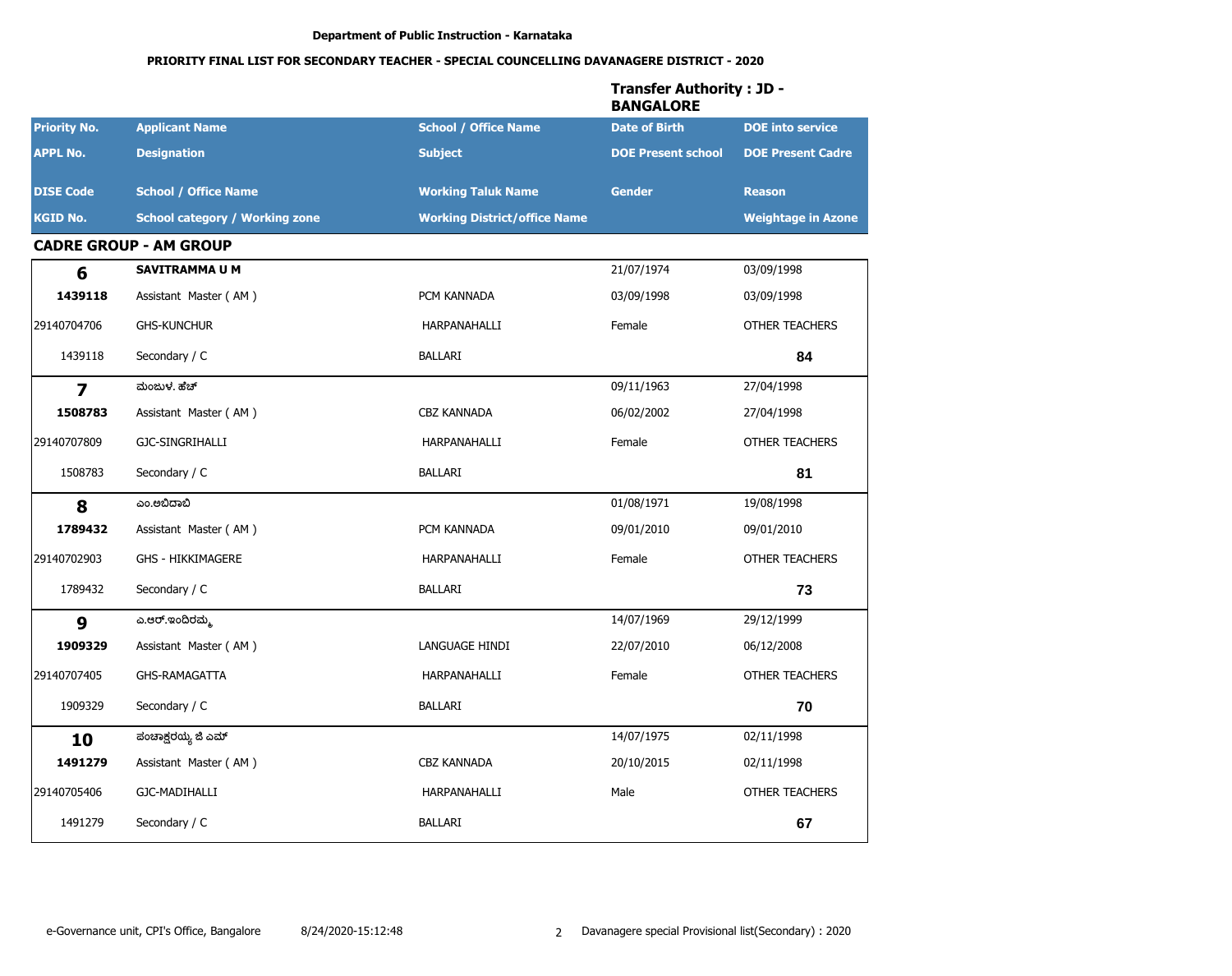|                         |                                       |                                     | <b>Transfer Authority: JD -</b><br><b>BANGALORE</b> |                           |
|-------------------------|---------------------------------------|-------------------------------------|-----------------------------------------------------|---------------------------|
| <b>Priority No.</b>     | <b>Applicant Name</b>                 | <b>School / Office Name</b>         | <b>Date of Birth</b>                                | <b>DOE</b> into service   |
| <b>APPL No.</b>         | <b>Designation</b>                    | <b>Subject</b>                      | <b>DOE Present school</b>                           | <b>DOE Present Cadre</b>  |
| <b>DISE Code</b>        | <b>School / Office Name</b>           | <b>Working Taluk Name</b>           | <b>Gender</b>                                       | <b>Reason</b>             |
| <b>KGID No.</b>         | <b>School category / Working zone</b> | <b>Working District/office Name</b> |                                                     | <b>Weightage in Azone</b> |
|                         | <b>CADRE GROUP - AM GROUP</b>         |                                     |                                                     |                           |
| 6                       | <b>SAVITRAMMA U M</b>                 |                                     | 21/07/1974                                          | 03/09/1998                |
| 1439118                 | Assistant Master (AM)                 | PCM KANNADA                         | 03/09/1998                                          | 03/09/1998                |
| 29140704706             | <b>GHS-KUNCHUR</b>                    | HARPANAHALLI                        | Female                                              | <b>OTHER TEACHERS</b>     |
| 1439118                 | Secondary / C                         | BALLARI                             |                                                     | 84                        |
| $\overline{\mathbf{z}}$ | ಮಂಜುಳ, ಹೆಚ್                           |                                     | 09/11/1963                                          | 27/04/1998                |
| 1508783                 | Assistant Master (AM)                 | <b>CBZ KANNADA</b>                  | 06/02/2002                                          | 27/04/1998                |
| 29140707809             | GJC-SINGRIHALLI                       | HARPANAHALLI                        | Female                                              | <b>OTHER TEACHERS</b>     |
| 1508783                 | Secondary / C                         | BALLARI                             |                                                     | 81                        |
| 8                       | ಎಂ.ಅಬಿದಾಬಿ                            |                                     | 01/08/1971                                          | 19/08/1998                |
| 1789432                 | Assistant Master (AM)                 | PCM KANNADA                         | 09/01/2010                                          | 09/01/2010                |
| 29140702903             | <b>GHS - HIKKIMAGERE</b>              | HARPANAHALLI                        | Female                                              | <b>OTHER TEACHERS</b>     |
| 1789432                 | Secondary / C                         | <b>BALLARI</b>                      |                                                     | 73                        |
| 9                       | ಎ.ಆರ್.ಇಂದಿರಮ್ಮ                        |                                     | 14/07/1969                                          | 29/12/1999                |
| 1909329                 | Assistant Master (AM)                 | LANGUAGE HINDI                      | 22/07/2010                                          | 06/12/2008                |
| 29140707405             | <b>GHS-RAMAGATTA</b>                  | HARPANAHALLI                        | Female                                              | <b>OTHER TEACHERS</b>     |
| 1909329                 | Secondary / C                         | BALLARI                             |                                                     | 70                        |
| 10                      | ಪಂಚಾಕ್ಷರಯ್ಯ ಜಿ ಎಮ್                    |                                     | 14/07/1975                                          | 02/11/1998                |
| 1491279                 | Assistant Master (AM)                 | CBZ KANNADA                         | 20/10/2015                                          | 02/11/1998                |
| 29140705406             | GJC-MADIHALLI                         | HARPANAHALLI                        | Male                                                | OTHER TEACHERS            |
| 1491279                 | Secondary / C                         | <b>BALLARI</b>                      |                                                     | 67                        |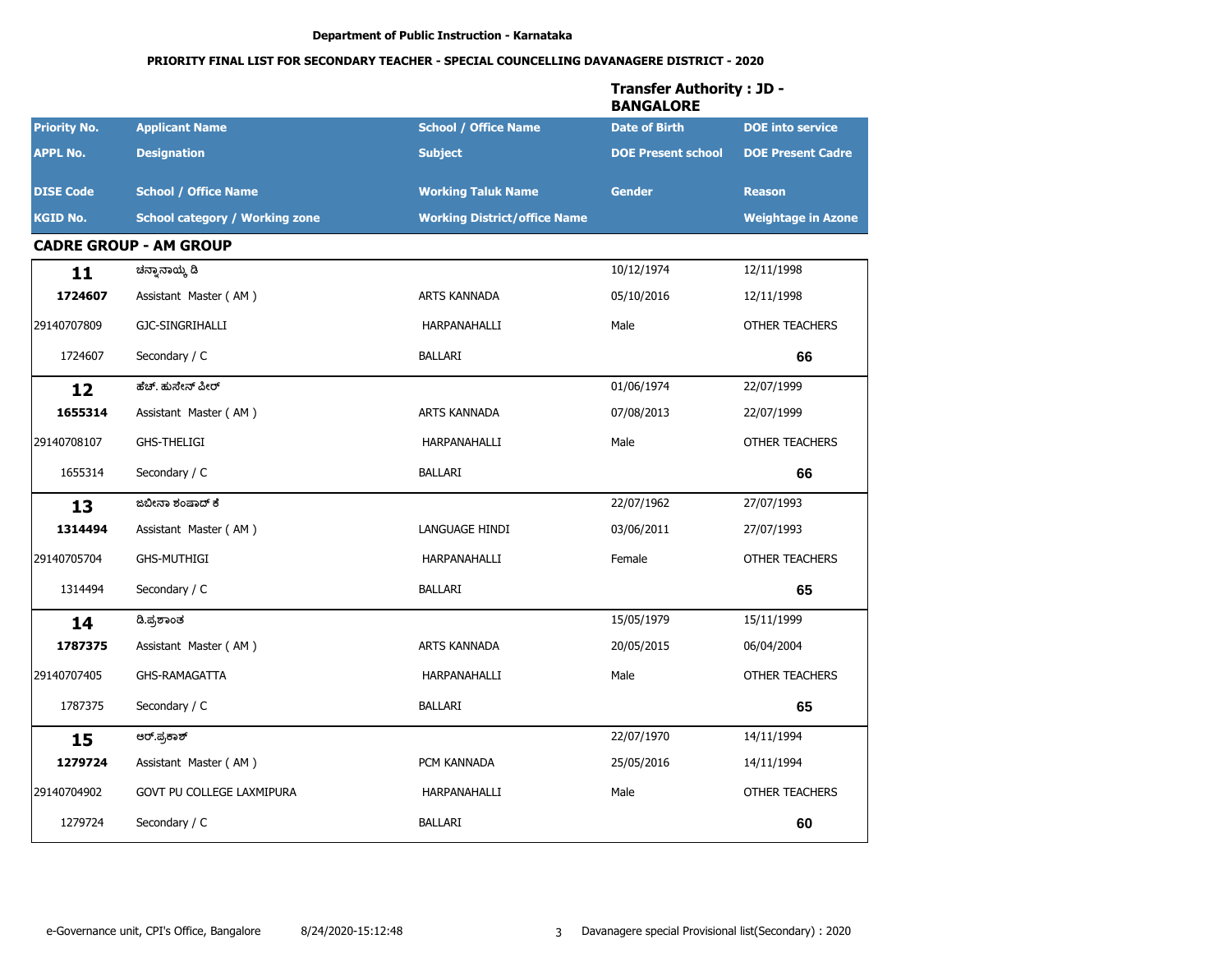|                     |                                       |                                     | <b>Transfer Authority: JD -</b><br><b>BANGALORE</b> |                           |
|---------------------|---------------------------------------|-------------------------------------|-----------------------------------------------------|---------------------------|
| <b>Priority No.</b> | <b>Applicant Name</b>                 | <b>School / Office Name</b>         | <b>Date of Birth</b>                                | <b>DOE</b> into service   |
| <b>APPL No.</b>     | <b>Designation</b>                    | <b>Subject</b>                      | <b>DOE Present school</b>                           | <b>DOE Present Cadre</b>  |
| <b>DISE Code</b>    | <b>School / Office Name</b>           | <b>Working Taluk Name</b>           | <b>Gender</b>                                       | <b>Reason</b>             |
| <b>KGID No.</b>     | <b>School category / Working zone</b> | <b>Working District/office Name</b> |                                                     | <b>Weightage in Azone</b> |
|                     | <b>CADRE GROUP - AM GROUP</b>         |                                     |                                                     |                           |
| 11                  | ಚನ್ನಾನಾಯ್ಕೆ ಡಿ                        |                                     | 10/12/1974                                          | 12/11/1998                |
| 1724607             | Assistant Master (AM)                 | ARTS KANNADA                        | 05/10/2016                                          | 12/11/1998                |
| 29140707809         | GJC-SINGRIHALLI                       | HARPANAHALLI                        | Male                                                | <b>OTHER TEACHERS</b>     |
| 1724607             | Secondary / C                         | <b>BALLARI</b>                      |                                                     | 66                        |
| 12                  | ಹೆಚ್. ಹುಸೇನ್ ಪೀರ್                     |                                     | 01/06/1974                                          | 22/07/1999                |
| 1655314             | Assistant Master (AM)                 | ARTS KANNADA                        | 07/08/2013                                          | 22/07/1999                |
| 29140708107         | <b>GHS-THELIGI</b>                    | HARPANAHALLI                        | Male                                                | OTHER TEACHERS            |
| 1655314             | Secondary / C                         | <b>BALLARI</b>                      |                                                     | 66                        |
| 13                  | ಜಬೀನಾ ಶಂಷಾದ್ ಕೆ                       |                                     | 22/07/1962                                          | 27/07/1993                |
| 1314494             | Assistant Master (AM)                 | LANGUAGE HINDI                      | 03/06/2011                                          | 27/07/1993                |
| 29140705704         | <b>GHS-MUTHIGI</b>                    | HARPANAHALLI                        | Female                                              | <b>OTHER TEACHERS</b>     |
| 1314494             | Secondary / C                         | <b>BALLARI</b>                      |                                                     | 65                        |
| 14                  | ಡಿ.ಪ್ರಶಾಂತ                            |                                     | 15/05/1979                                          | 15/11/1999                |
| 1787375             | Assistant Master (AM)                 | ARTS KANNADA                        | 20/05/2015                                          | 06/04/2004                |
| 29140707405         | <b>GHS-RAMAGATTA</b>                  | HARPANAHALLI                        | Male                                                | <b>OTHER TEACHERS</b>     |
| 1787375             | Secondary / C                         | <b>BALLARI</b>                      |                                                     | 65                        |
| 15                  | ಆರ್.ಪ್ರಕಾಶ್                           |                                     | 22/07/1970                                          | 14/11/1994                |
| 1279724             | Assistant Master (AM)                 | PCM KANNADA                         | 25/05/2016                                          | 14/11/1994                |
| 29140704902         | GOVT PU COLLEGE LAXMIPURA             | HARPANAHALLI                        | Male                                                | OTHER TEACHERS            |
| 1279724             | Secondary / C                         | BALLARI                             |                                                     | 60                        |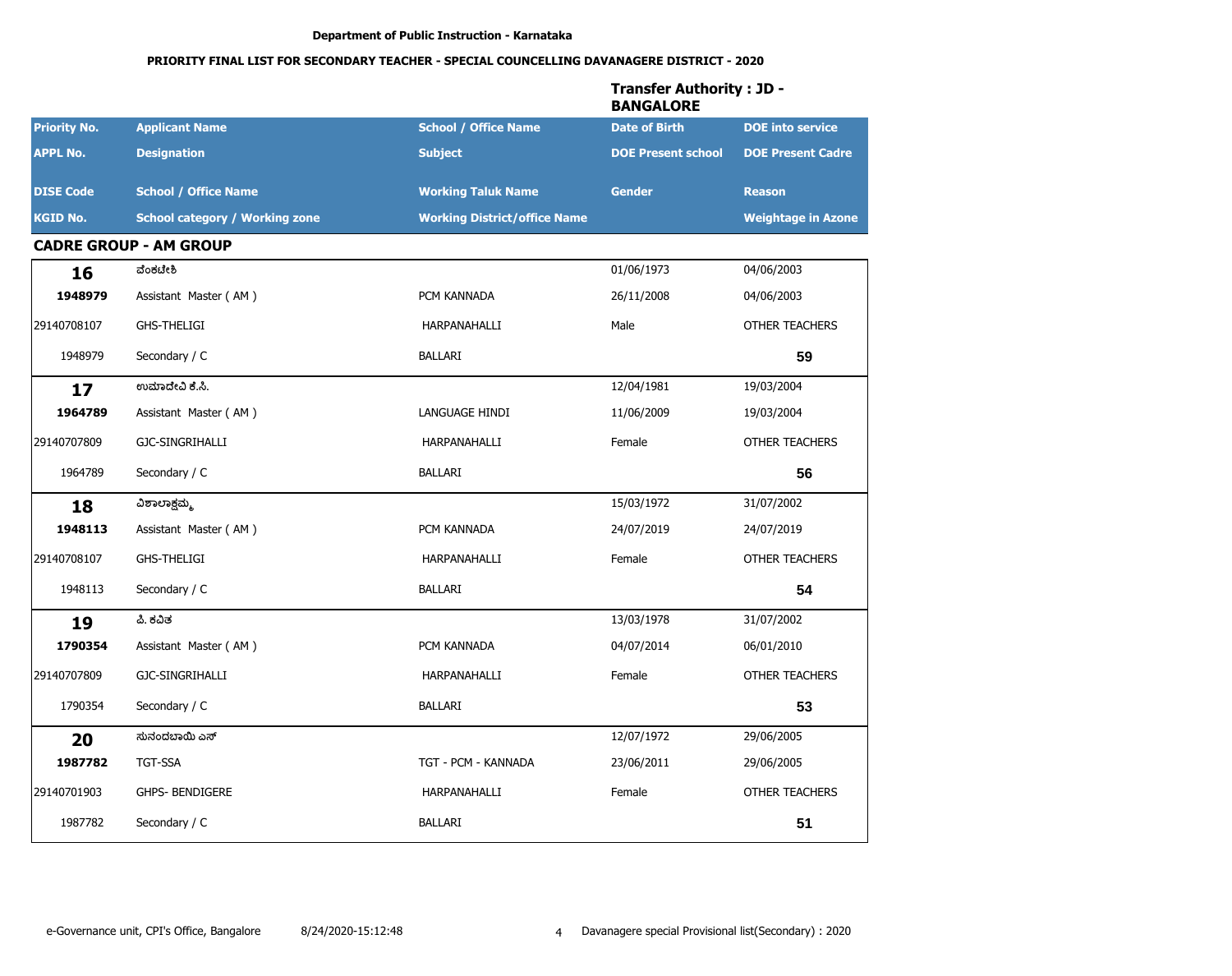|                     |                                       |                                     | <b>Transfer Authority: JD -</b><br><b>BANGALORE</b> |                           |
|---------------------|---------------------------------------|-------------------------------------|-----------------------------------------------------|---------------------------|
| <b>Priority No.</b> | <b>Applicant Name</b>                 | <b>School / Office Name</b>         | <b>Date of Birth</b>                                | <b>DOE</b> into service   |
| <b>APPL No.</b>     | <b>Designation</b>                    | <b>Subject</b>                      | <b>DOE Present school</b>                           | <b>DOE Present Cadre</b>  |
| <b>DISE Code</b>    | <b>School / Office Name</b>           | <b>Working Taluk Name</b>           | <b>Gender</b>                                       | <b>Reason</b>             |
| <b>KGID No.</b>     | <b>School category / Working zone</b> | <b>Working District/office Name</b> |                                                     | <b>Weightage in Azone</b> |
|                     | <b>CADRE GROUP - AM GROUP</b>         |                                     |                                                     |                           |
| 16                  | ವೆಂಕಟೇಶಿ                              |                                     | 01/06/1973                                          | 04/06/2003                |
| 1948979             | Assistant Master (AM)                 | PCM KANNADA                         | 26/11/2008                                          | 04/06/2003                |
| 29140708107         | <b>GHS-THELIGI</b>                    | HARPANAHALLI                        | Male                                                | <b>OTHER TEACHERS</b>     |
| 1948979             | Secondary / C                         | <b>BALLARI</b>                      |                                                     | 59                        |
| 17                  | ಉಮಾದೇವಿ ಕೆ.ಸಿ.                        |                                     | 12/04/1981                                          | 19/03/2004                |
| 1964789             | Assistant Master (AM)                 | LANGUAGE HINDI                      | 11/06/2009                                          | 19/03/2004                |
| 29140707809         | GJC-SINGRIHALLI                       | HARPANAHALLI                        | Female                                              | <b>OTHER TEACHERS</b>     |
| 1964789             | Secondary / C                         | <b>BALLARI</b>                      |                                                     | 56                        |
| 18                  | ವಿಶಾಲಾಕ್ಷಮ್ಮ                          |                                     | 15/03/1972                                          | 31/07/2002                |
| 1948113             | Assistant Master (AM)                 | PCM KANNADA                         | 24/07/2019                                          | 24/07/2019                |
| 29140708107         | <b>GHS-THELIGI</b>                    | HARPANAHALLI                        | Female                                              | <b>OTHER TEACHERS</b>     |
| 1948113             | Secondary / C                         | <b>BALLARI</b>                      |                                                     | 54                        |
| 19                  | ಪಿ. ಕವಿತ                              |                                     | 13/03/1978                                          | 31/07/2002                |
| 1790354             | Assistant Master (AM)                 | PCM KANNADA                         | 04/07/2014                                          | 06/01/2010                |
| 29140707809         | GJC-SINGRIHALLI                       | HARPANAHALLI                        | Female                                              | <b>OTHER TEACHERS</b>     |
| 1790354             | Secondary / C                         | <b>BALLARI</b>                      |                                                     | 53                        |
| 20                  | ಸುನಂದಬಾಯಿ ಎಸ್                         |                                     | 12/07/1972                                          | 29/06/2005                |
| 1987782             | TGT-SSA                               | TGT - PCM - KANNADA                 | 23/06/2011                                          | 29/06/2005                |
| 29140701903         | GHPS- BENDIGERE                       | HARPANAHALLI                        | Female                                              | OTHER TEACHERS            |
| 1987782             | Secondary / C                         | <b>BALLARI</b>                      |                                                     | 51                        |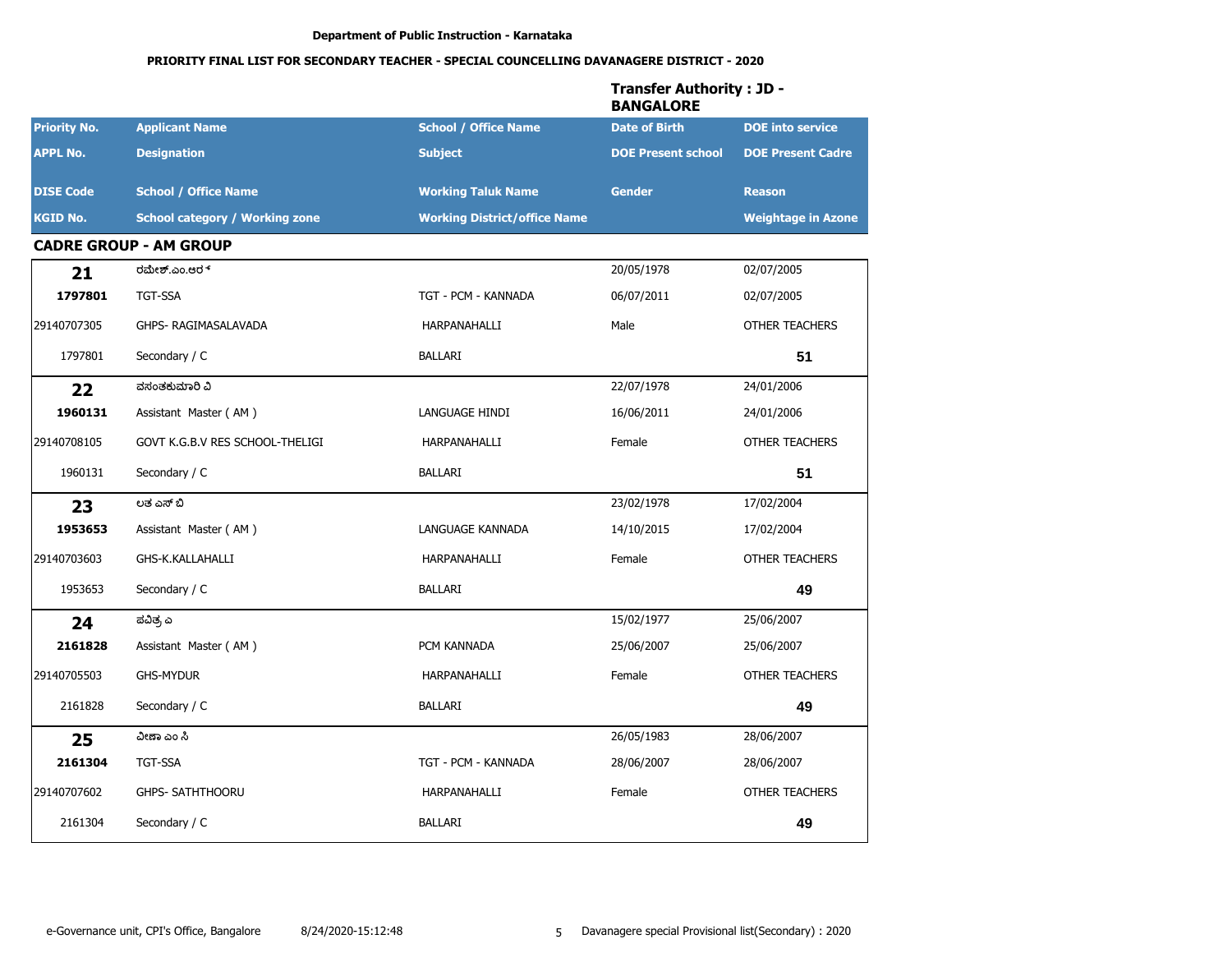# PRIORITY FINAL LIST FOR SECONDARY TEACHER - SPECIAL COUNCELLING DAVANAGERE DISTRICT - 2020

|                     |                                       |                                     | Transfer Authority : JD -<br><b>BANGALORE</b> |                           |
|---------------------|---------------------------------------|-------------------------------------|-----------------------------------------------|---------------------------|
| <b>Priority No.</b> | <b>Applicant Name</b>                 | <b>School / Office Name</b>         | <b>Date of Birth</b>                          | <b>DOE</b> into service   |
| <b>APPL No.</b>     | <b>Designation</b>                    | <b>Subject</b>                      | <b>DOE Present school</b>                     | <b>DOE Present Cadre</b>  |
| <b>DISE Code</b>    | <b>School / Office Name</b>           | <b>Working Taluk Name</b>           | <b>Gender</b>                                 | <b>Reason</b>             |
| <b>KGID No.</b>     | <b>School category / Working zone</b> | <b>Working District/office Name</b> |                                               | <b>Weightage in Azone</b> |
|                     | <b>CADRE GROUP - AM GROUP</b>         |                                     |                                               |                           |
| 21                  | ರಮೇಶ್.ಎಂ.ಆರ್                          |                                     | 20/05/1978                                    | 02/07/2005                |
| 1797801             | <b>TGT-SSA</b>                        | TGT - PCM - KANNADA                 | 06/07/2011                                    | 02/07/2005                |
| 29140707305         | GHPS- RAGIMASALAVADA                  | HARPANAHALLI                        | Male                                          | <b>OTHER TEACHERS</b>     |
| 1797801             | Secondary / C                         | BALLARI                             |                                               | 51                        |
| 22                  | ವಸಂತಕುಮಾರಿ ವಿ                         |                                     | 22/07/1978                                    | 24/01/2006                |
| 1960131             | Assistant Master (AM)                 | LANGUAGE HINDI                      | 16/06/2011                                    | 24/01/2006                |
| 29140708105         | GOVT K.G.B.V RES SCHOOL-THELIGI       | HARPANAHALLI                        | Female                                        | OTHER TEACHERS            |
| 1960131             | Secondary / C                         | BALLARI                             |                                               | 51                        |
| 23                  | ಲತ ಎಸ್ ಬಿ                             |                                     | 23/02/1978                                    | 17/02/2004                |
| 1953653             | Assistant Master (AM)                 | LANGUAGE KANNADA                    | 14/10/2015                                    | 17/02/2004                |
| 29140703603         | GHS-K.KALLAHALLI                      | HARPANAHALLI                        | Female                                        | <b>OTHER TEACHERS</b>     |
| 1953653             | Secondary / C                         | BALLARI                             |                                               | 49                        |
| 24                  | ಪವಿತ್ರ ಎ                              |                                     | 15/02/1977                                    | 25/06/2007                |
| 2161828             | Assistant Master (AM)                 | PCM KANNADA                         | 25/06/2007                                    | 25/06/2007                |
| 29140705503         | <b>GHS-MYDUR</b>                      | HARPANAHALLI                        | Female                                        | <b>OTHER TEACHERS</b>     |
| 2161828             | Secondary / C                         | <b>BALLARI</b>                      |                                               | 49                        |
| 25                  | ವೀಣಾ ಎಂ ಸಿ                            |                                     | 26/05/1983                                    | 28/06/2007                |
| 2161304             | TGT-SSA                               | TGT - PCM - KANNADA                 | 28/06/2007                                    | 28/06/2007                |
| 29140707602         | <b>GHPS- SATHTHOORU</b>               | HARPANAHALLI                        | Female                                        | OTHER TEACHERS            |
| 2161304             | Secondary / C                         | <b>BALLARI</b>                      |                                               | 49                        |

# $T_{\text{total}}$  of  $\epsilon$  and  $\epsilon$  and  $\epsilon$  and  $\epsilon$  and  $\epsilon$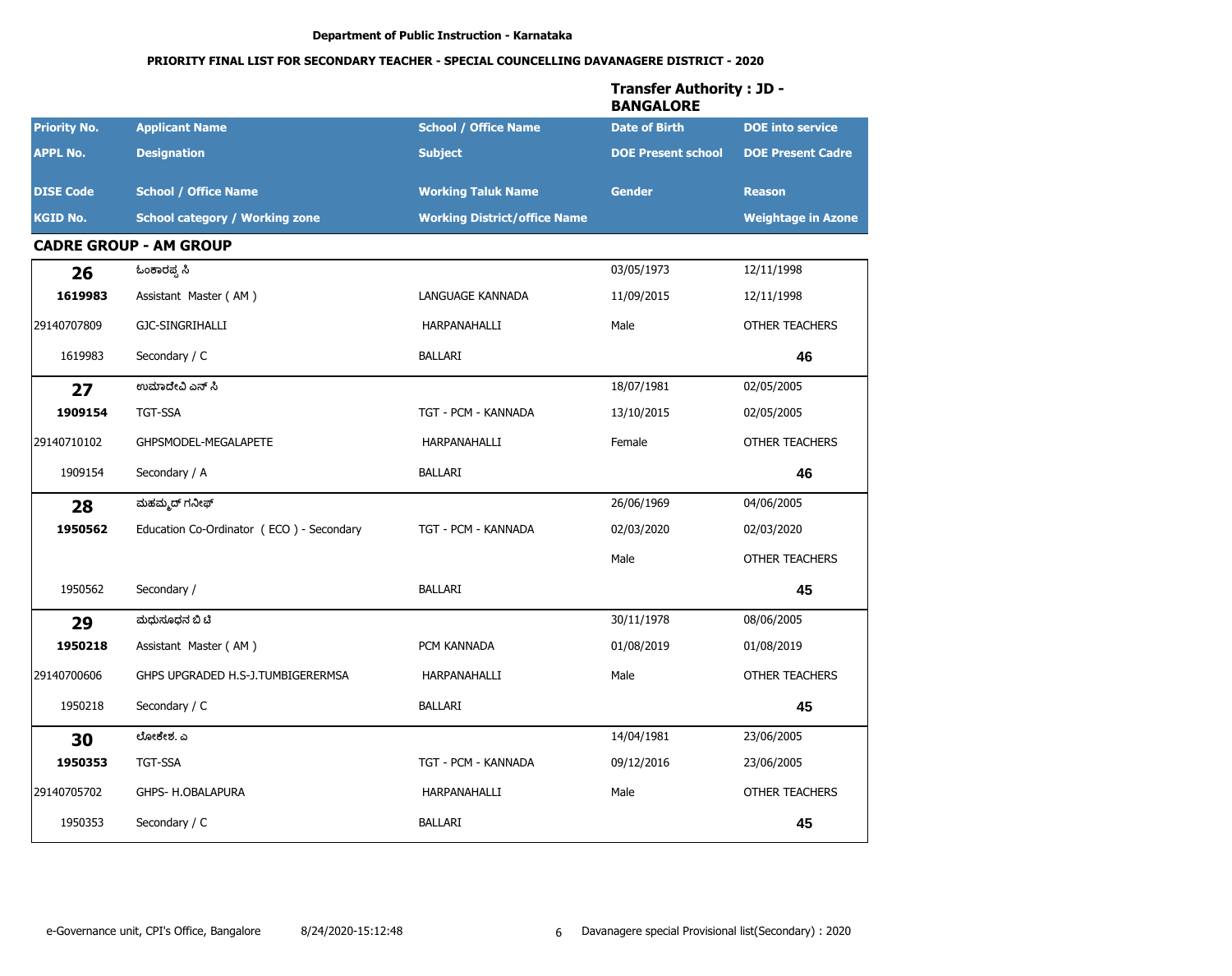# PRIORITY FINAL LIST FOR SECONDARY TEACHER - SPECIAL COUNCELLING DAVANAGERE DISTRICT - 2020

|                     |                                          |                                     | <b>Transfer Authority: JD -</b><br><b>BANGALORE</b> |                           |
|---------------------|------------------------------------------|-------------------------------------|-----------------------------------------------------|---------------------------|
| <b>Priority No.</b> | <b>Applicant Name</b>                    | <b>School / Office Name</b>         | <b>Date of Birth</b>                                | <b>DOE</b> into service   |
| <b>APPL No.</b>     | <b>Designation</b>                       | <b>Subject</b>                      | <b>DOE Present school</b>                           | <b>DOE Present Cadre</b>  |
| <b>DISE Code</b>    | <b>School / Office Name</b>              | <b>Working Taluk Name</b>           | <b>Gender</b>                                       | <b>Reason</b>             |
| <b>KGID No.</b>     | <b>School category / Working zone</b>    | <b>Working District/office Name</b> |                                                     | <b>Weightage in Azone</b> |
|                     | <b>CADRE GROUP - AM GROUP</b>            |                                     |                                                     |                           |
| 26                  | ಓಂಕಾರಪ್ಪ ಸಿ                              |                                     | 03/05/1973                                          | 12/11/1998                |
| 1619983             | Assistant Master (AM)                    | LANGUAGE KANNADA                    | 11/09/2015                                          | 12/11/1998                |
| 29140707809         | GJC-SINGRIHALLI                          | HARPANAHALLI                        | Male                                                | <b>OTHER TEACHERS</b>     |
| 1619983             | Secondary / C                            | <b>BALLARI</b>                      |                                                     | 46                        |
| 27                  | ಉಮಾದೇವಿ ಎನ್ ಸಿ                           |                                     | 18/07/1981                                          | 02/05/2005                |
| 1909154             | <b>TGT-SSA</b>                           | TGT - PCM - KANNADA                 | 13/10/2015                                          | 02/05/2005                |
| 29140710102         | GHPSMODEL-MEGALAPETE                     | HARPANAHALLI                        | Female                                              | OTHER TEACHERS            |
| 1909154             | Secondary / A                            | <b>BALLARI</b>                      |                                                     | 46                        |
| 28                  | ಮಹಮ್ಮದ್ ಗನೀಫ್                            |                                     | 26/06/1969                                          | 04/06/2005                |
| 1950562             | Education Co-Ordinator (ECO) - Secondary | TGT - PCM - KANNADA                 | 02/03/2020                                          | 02/03/2020                |
|                     |                                          |                                     | Male                                                | <b>OTHER TEACHERS</b>     |
| 1950562             | Secondary /                              | <b>BALLARI</b>                      |                                                     | 45                        |
| 29                  | ಮಧುಸೂಧನ ಬಿ ಟಿ                            |                                     | 30/11/1978                                          | 08/06/2005                |
| 1950218             | Assistant Master (AM)                    | PCM KANNADA                         | 01/08/2019                                          | 01/08/2019                |
| 29140700606         | GHPS UPGRADED H.S-J.TUMBIGERERMSA        | HARPANAHALLI                        | Male                                                | <b>OTHER TEACHERS</b>     |
| 1950218             | Secondary / C                            | <b>BALLARI</b>                      |                                                     | 45                        |
| 30                  | ಲೋಕೇಶ. ಎ                                 |                                     | 14/04/1981                                          | 23/06/2005                |
| 1950353             | TGT-SSA                                  | TGT - PCM - KANNADA                 | 09/12/2016                                          | 23/06/2005                |
| 29140705702         | GHPS- H.OBALAPURA                        | HARPANAHALLI                        | Male                                                | OTHER TEACHERS            |
| 1950353             | Secondary / C                            | BALLARI                             |                                                     | 45                        |

#### e-Governance unit, CPI's Office, Bangalore 8/24/2020-15:12:48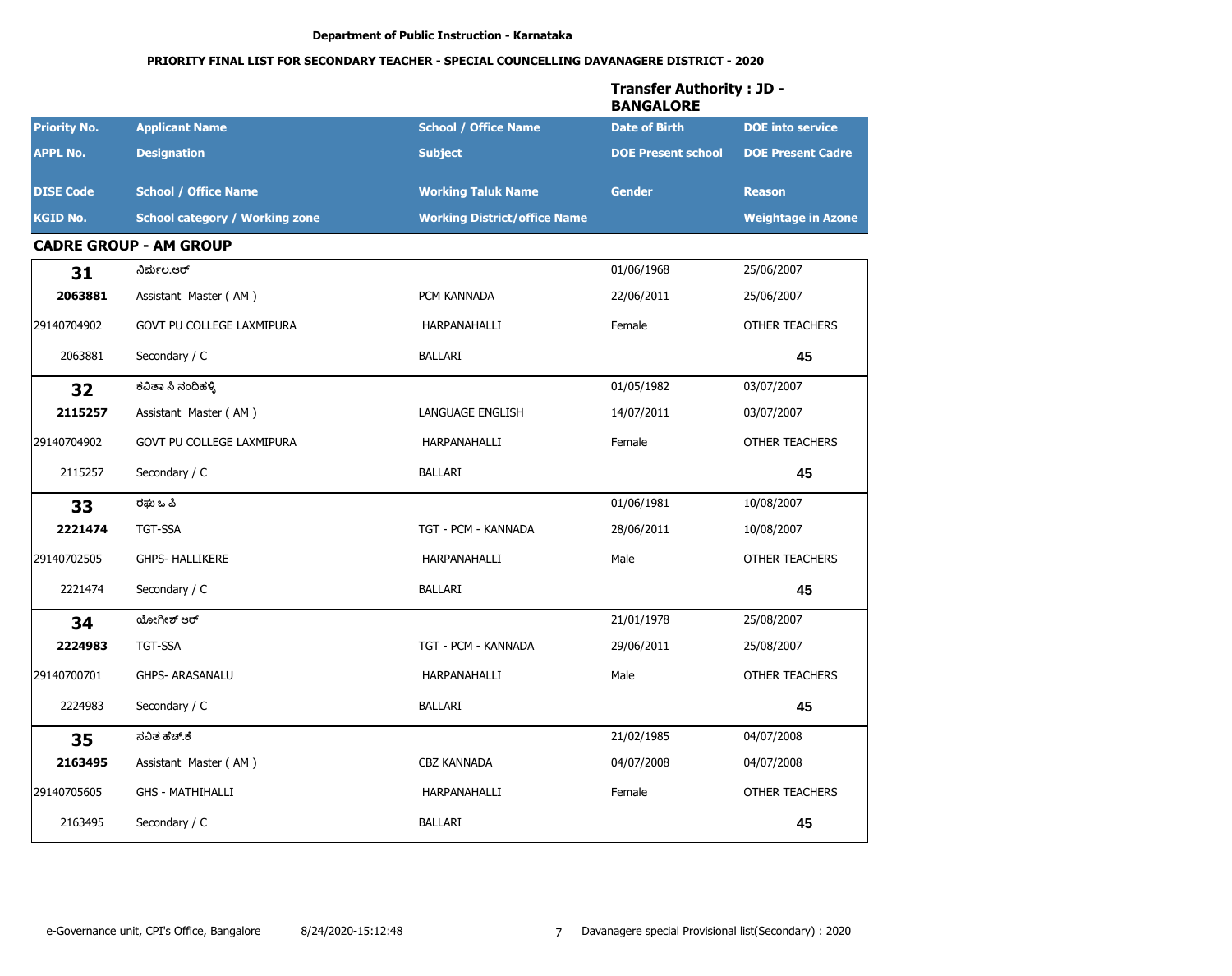|                     |                                       |                                     | <b>Transfer Authority: JD -</b><br><b>BANGALORE</b> |                           |
|---------------------|---------------------------------------|-------------------------------------|-----------------------------------------------------|---------------------------|
| <b>Priority No.</b> | <b>Applicant Name</b>                 | <b>School / Office Name</b>         | <b>Date of Birth</b>                                | <b>DOE</b> into service   |
| <b>APPL No.</b>     | <b>Designation</b>                    | <b>Subject</b>                      | <b>DOE Present school</b>                           | <b>DOE Present Cadre</b>  |
| <b>DISE Code</b>    | <b>School / Office Name</b>           | <b>Working Taluk Name</b>           | <b>Gender</b>                                       | <b>Reason</b>             |
| <b>KGID No.</b>     | <b>School category / Working zone</b> | <b>Working District/office Name</b> |                                                     | <b>Weightage in Azone</b> |
|                     | <b>CADRE GROUP - AM GROUP</b>         |                                     |                                                     |                           |
| 31                  | ನಿರ್ಮಲ.ಆರ್                            |                                     | 01/06/1968                                          | 25/06/2007                |
| 2063881             | Assistant Master (AM)                 | PCM KANNADA                         | 22/06/2011                                          | 25/06/2007                |
| 29140704902         | GOVT PU COLLEGE LAXMIPURA             | HARPANAHALLI                        | Female                                              | <b>OTHER TEACHERS</b>     |
| 2063881             | Secondary / C                         | BALLARI                             |                                                     | 45                        |
| 32                  | ಕವಿತಾ ಸಿ ನಂದಿಹಳ್ಳಿ                    |                                     | 01/05/1982                                          | 03/07/2007                |
| 2115257             | Assistant Master (AM)                 | LANGUAGE ENGLISH                    | 14/07/2011                                          | 03/07/2007                |
| 29140704902         | GOVT PU COLLEGE LAXMIPURA             | HARPANAHALLI                        | Female                                              | <b>OTHER TEACHERS</b>     |
| 2115257             | Secondary / C                         | BALLARI                             |                                                     | 45                        |
| 33                  | ರಘು ಒ ಪಿ                              |                                     | 01/06/1981                                          | 10/08/2007                |
| 2221474             | TGT-SSA                               | TGT - PCM - KANNADA                 | 28/06/2011                                          | 10/08/2007                |
| 29140702505         | <b>GHPS- HALLIKERE</b>                | HARPANAHALLI                        | Male                                                | <b>OTHER TEACHERS</b>     |
| 2221474             | Secondary / C                         | BALLARI                             |                                                     | 45                        |
| 34                  | ಯೋಗೀಶ್ ಆರ್                            |                                     | 21/01/1978                                          | 25/08/2007                |
| 2224983             | <b>TGT-SSA</b>                        | TGT - PCM - KANNADA                 | 29/06/2011                                          | 25/08/2007                |
| 29140700701         | <b>GHPS- ARASANALU</b>                | HARPANAHALLI                        | Male                                                | <b>OTHER TEACHERS</b>     |
| 2224983             | Secondary / C                         | <b>BALLARI</b>                      |                                                     | 45                        |
| 35                  | ಸವಿತ ಹೆಚ್.ಕೆ                          |                                     | 21/02/1985                                          | 04/07/2008                |
| 2163495             | Assistant Master (AM)                 | <b>CBZ KANNADA</b>                  | 04/07/2008                                          | 04/07/2008                |
| 29140705605         | <b>GHS - MATHIHALLI</b>               | HARPANAHALLI                        | Female                                              | OTHER TEACHERS            |
| 2163495             | Secondary / C                         | BALLARI                             |                                                     | 45                        |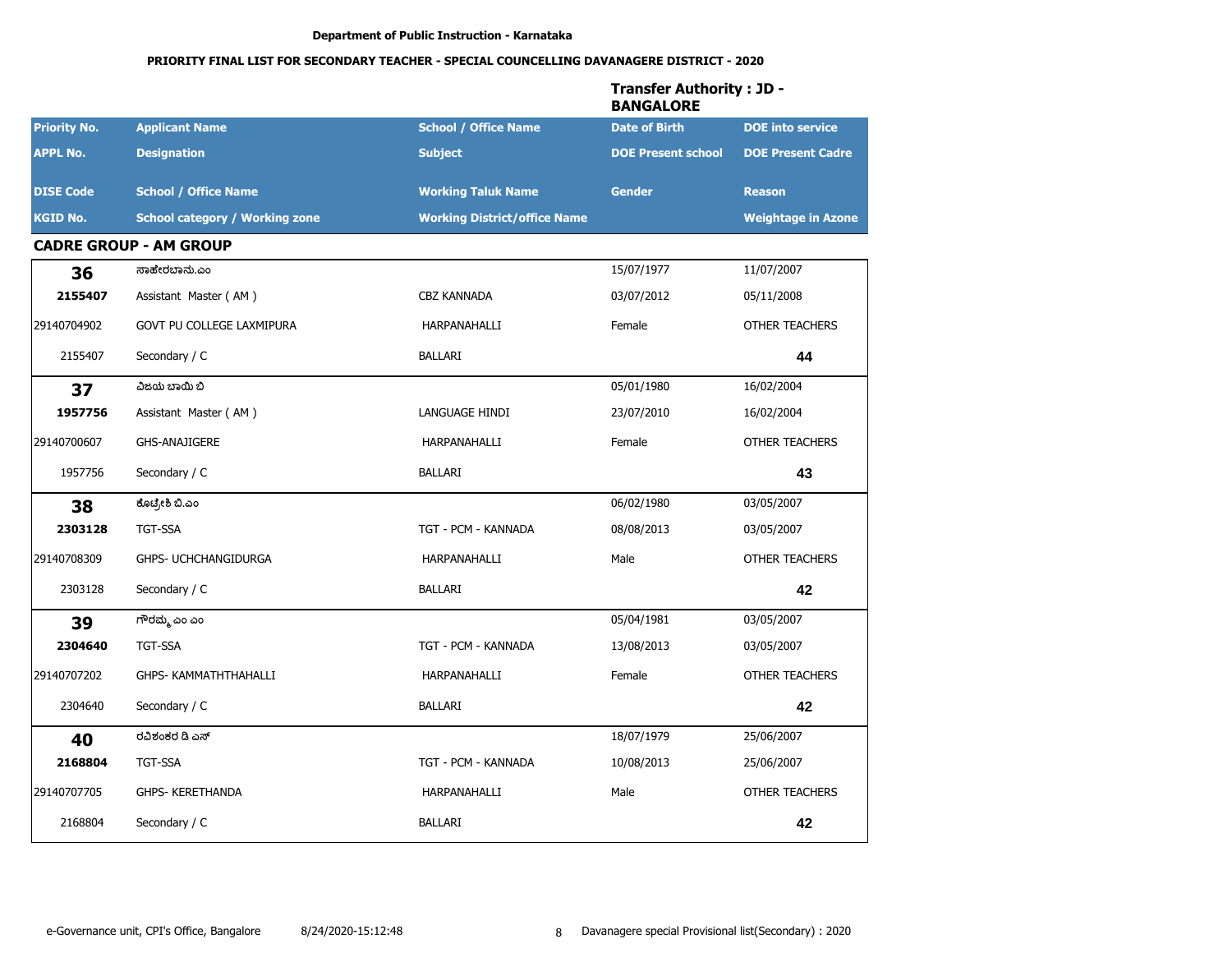|                     |                                       |                                     | <b>Transfer Authority: JD -</b><br><b>BANGALORE</b> |                           |
|---------------------|---------------------------------------|-------------------------------------|-----------------------------------------------------|---------------------------|
| <b>Priority No.</b> | <b>Applicant Name</b>                 | <b>School / Office Name</b>         | <b>Date of Birth</b>                                | <b>DOE</b> into service   |
| <b>APPL No.</b>     | <b>Designation</b>                    | <b>Subject</b>                      | <b>DOE Present school</b>                           | <b>DOE Present Cadre</b>  |
| <b>DISE Code</b>    | <b>School / Office Name</b>           | <b>Working Taluk Name</b>           | <b>Gender</b>                                       | <b>Reason</b>             |
| <b>KGID No.</b>     | <b>School category / Working zone</b> | <b>Working District/office Name</b> |                                                     | <b>Weightage in Azone</b> |
|                     | <b>CADRE GROUP - AM GROUP</b>         |                                     |                                                     |                           |
| 36                  | ಸಾಹೇರಬಾನು.ಎಂ                          |                                     | 15/07/1977                                          | 11/07/2007                |
| 2155407             | Assistant Master (AM)                 | <b>CBZ KANNADA</b>                  | 03/07/2012                                          | 05/11/2008                |
| 29140704902         | GOVT PU COLLEGE LAXMIPURA             | HARPANAHALLI                        | Female                                              | <b>OTHER TEACHERS</b>     |
| 2155407             | Secondary / C                         | <b>BALLARI</b>                      |                                                     | 44                        |
| 37                  | ವಿಜಯ ಬಾಯಿ ಬಿ                          |                                     | 05/01/1980                                          | 16/02/2004                |
| 1957756             | Assistant Master (AM)                 | LANGUAGE HINDI                      | 23/07/2010                                          | 16/02/2004                |
| 29140700607         | <b>GHS-ANAJIGERE</b>                  | HARPANAHALLI                        | Female                                              | OTHER TEACHERS            |
| 1957756             | Secondary / C                         | <b>BALLARI</b>                      |                                                     | 43                        |
| 38                  | ಕೊಟ್ರೇಶಿ ಬಿ.ಎಂ                        |                                     | 06/02/1980                                          | 03/05/2007                |
| 2303128             | <b>TGT-SSA</b>                        | TGT - PCM - KANNADA                 | 08/08/2013                                          | 03/05/2007                |
| 29140708309         | GHPS- UCHCHANGIDURGA                  | HARPANAHALLI                        | Male                                                | <b>OTHER TEACHERS</b>     |
| 2303128             | Secondary / C                         | <b>BALLARI</b>                      |                                                     | 42                        |
| 39                  | ಗೌರಮ್ಮ ಎಂ ಎಂ                          |                                     | 05/04/1981                                          | 03/05/2007                |
| 2304640             | <b>TGT-SSA</b>                        | TGT - PCM - KANNADA                 | 13/08/2013                                          | 03/05/2007                |
| 29140707202         | GHPS- KAMMATHTHAHALLI                 | HARPANAHALLI                        | Female                                              | <b>OTHER TEACHERS</b>     |
| 2304640             | Secondary / C                         | <b>BALLARI</b>                      |                                                     | 42                        |
| 40                  | ರವಿಶಂಕರ ಡಿ ಎಸ್                        |                                     | 18/07/1979                                          | 25/06/2007                |
| 2168804             | TGT-SSA                               | TGT - PCM - KANNADA                 | 10/08/2013                                          | 25/06/2007                |
| 29140707705         | GHPS- KERETHANDA                      | HARPANAHALLI                        | Male                                                | OTHER TEACHERS            |
| 2168804             | Secondary / C                         | BALLARI                             |                                                     | 42                        |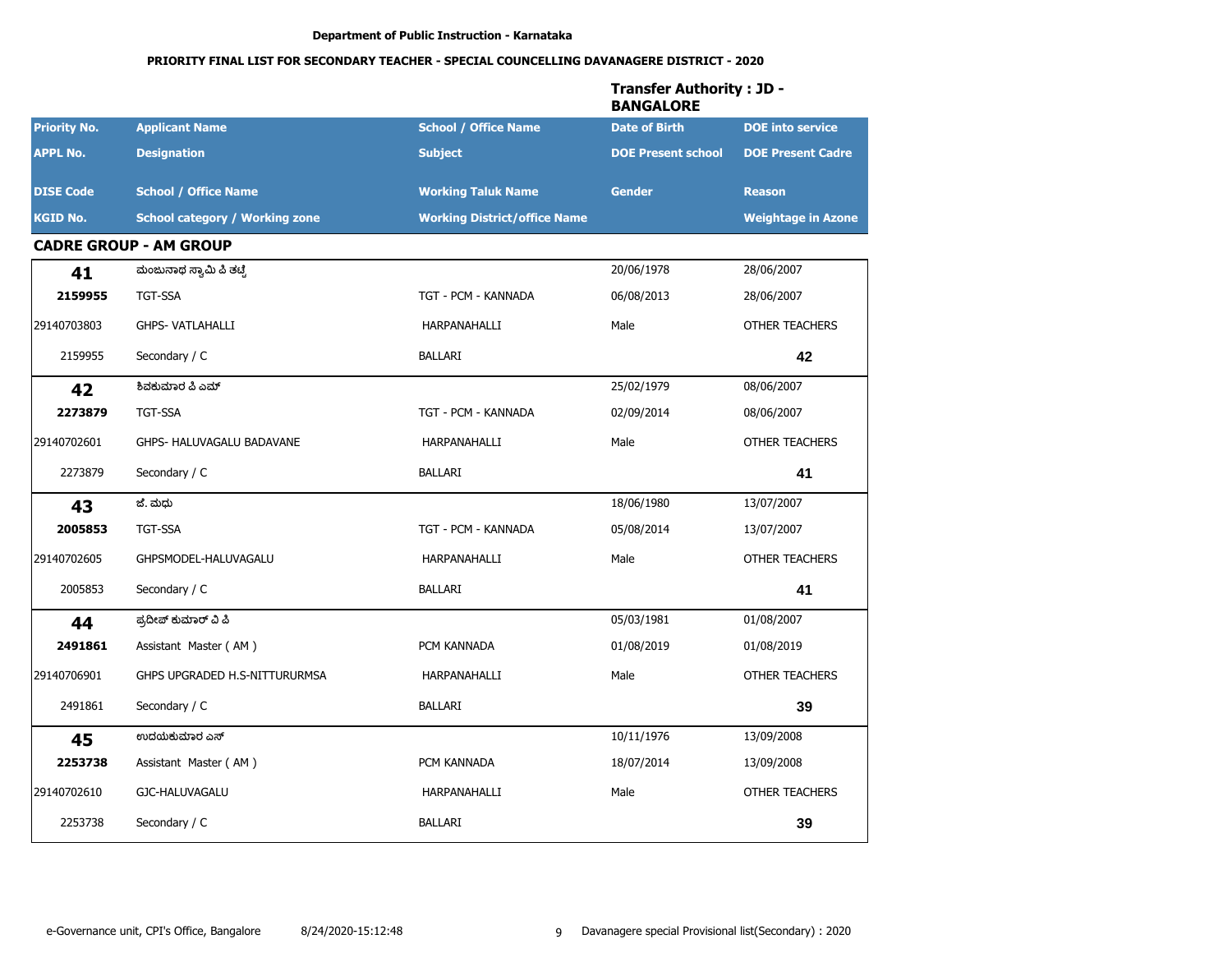|                     |                                       |                                     | <b>Transfer Authority: JD -</b><br><b>BANGALORE</b> |                           |
|---------------------|---------------------------------------|-------------------------------------|-----------------------------------------------------|---------------------------|
| <b>Priority No.</b> | <b>Applicant Name</b>                 | <b>School / Office Name</b>         | <b>Date of Birth</b>                                | <b>DOE</b> into service   |
| <b>APPL No.</b>     | <b>Designation</b>                    | <b>Subject</b>                      | <b>DOE Present school</b>                           | <b>DOE Present Cadre</b>  |
| <b>DISE Code</b>    | <b>School / Office Name</b>           | <b>Working Taluk Name</b>           | <b>Gender</b>                                       | <b>Reason</b>             |
| <b>KGID No.</b>     | <b>School category / Working zone</b> | <b>Working District/office Name</b> |                                                     | <b>Weightage in Azone</b> |
|                     | <b>CADRE GROUP - AM GROUP</b>         |                                     |                                                     |                           |
| 41                  | ಮಂಜುನಾಥ ಸ್ವಾಮಿ ಪಿ ತಟ್ಟೆ               |                                     | 20/06/1978                                          | 28/06/2007                |
| 2159955             | <b>TGT-SSA</b>                        | TGT - PCM - KANNADA                 | 06/08/2013                                          | 28/06/2007                |
| 29140703803         | <b>GHPS- VATLAHALLI</b>               | HARPANAHALLI                        | Male                                                | <b>OTHER TEACHERS</b>     |
| 2159955             | Secondary / C                         | <b>BALLARI</b>                      |                                                     | 42                        |
| 42                  | ಶಿವಕುಮಾರ ಪಿ ಎಮ್                       |                                     | 25/02/1979                                          | 08/06/2007                |
| 2273879             | <b>TGT-SSA</b>                        | TGT - PCM - KANNADA                 | 02/09/2014                                          | 08/06/2007                |
| 29140702601         | GHPS- HALUVAGALU BADAVANE             | HARPANAHALLI                        | Male                                                | OTHER TEACHERS            |
| 2273879             | Secondary / C                         | <b>BALLARI</b>                      |                                                     | 41                        |
| 43                  | ಜೆ. ಮಧು                               |                                     | 18/06/1980                                          | 13/07/2007                |
| 2005853             | <b>TGT-SSA</b>                        | TGT - PCM - KANNADA                 | 05/08/2014                                          | 13/07/2007                |
| 29140702605         | GHPSMODEL-HALUVAGALU                  | HARPANAHALLI                        | Male                                                | <b>OTHER TEACHERS</b>     |
| 2005853             | Secondary / C                         | <b>BALLARI</b>                      |                                                     | 41                        |
| 44                  | ಪ್ರದೀಪ್ ಕುಮಾರ್ ವಿ ಪಿ                  |                                     | 05/03/1981                                          | 01/08/2007                |
| 2491861             | Assistant Master (AM)                 | PCM KANNADA                         | 01/08/2019                                          | 01/08/2019                |
| 29140706901         | GHPS UPGRADED H.S-NITTURURMSA         | HARPANAHALLI                        | Male                                                | <b>OTHER TEACHERS</b>     |
| 2491861             | Secondary / C                         | <b>BALLARI</b>                      |                                                     | 39                        |
| 45                  | ಉದಯಕುಮಾರ ಎಸ್                          |                                     | 10/11/1976                                          | 13/09/2008                |
| 2253738             | Assistant Master (AM)                 | PCM KANNADA                         | 18/07/2014                                          | 13/09/2008                |
| 29140702610         | GJC-HALUVAGALU                        | HARPANAHALLI                        | Male                                                | OTHER TEACHERS            |
| 2253738             | Secondary / C                         | BALLARI                             |                                                     | 39                        |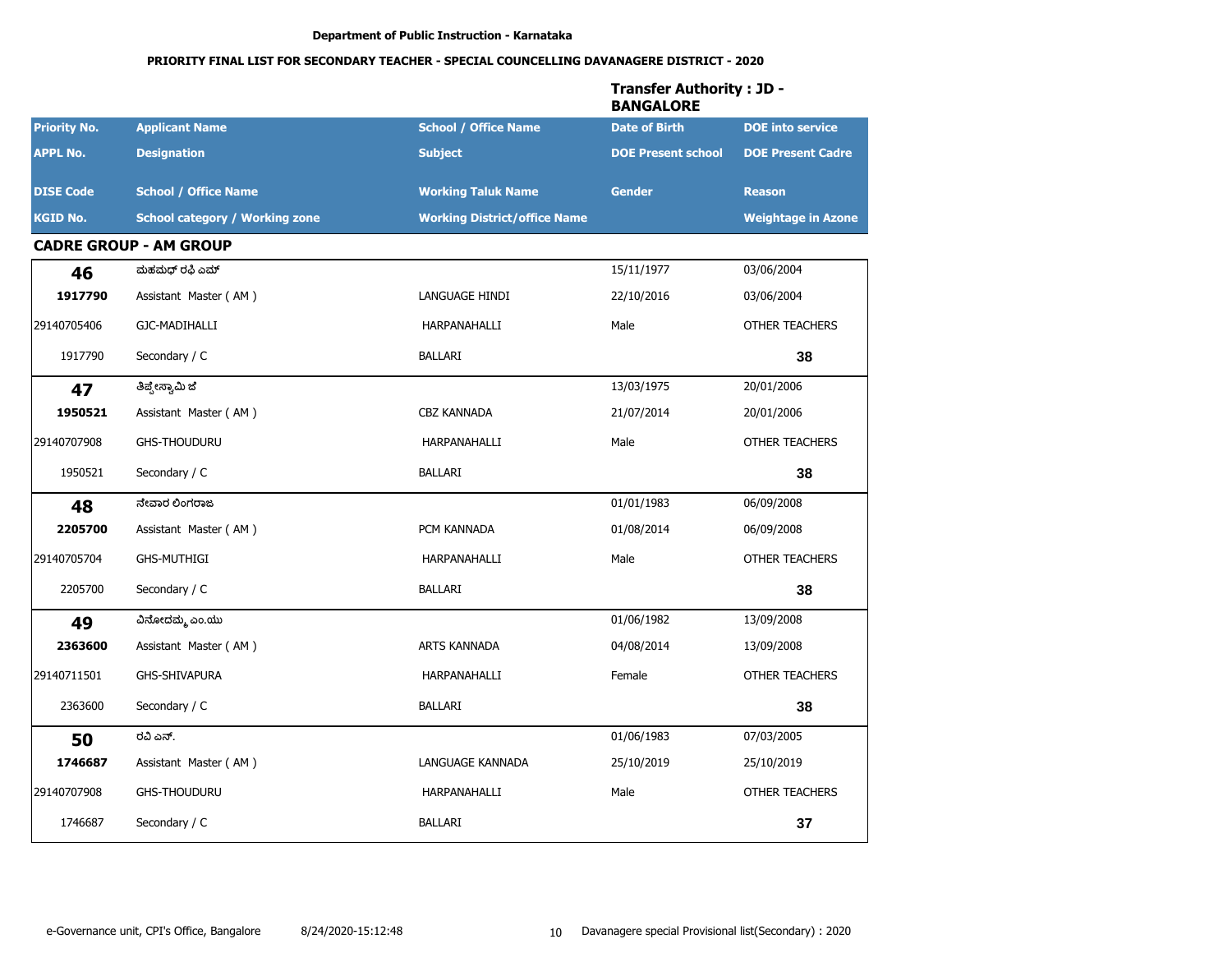|                     |                                       |                                     | <b>Transfer Authority: JD -</b><br><b>BANGALORE</b> |                           |
|---------------------|---------------------------------------|-------------------------------------|-----------------------------------------------------|---------------------------|
| <b>Priority No.</b> | <b>Applicant Name</b>                 | <b>School / Office Name</b>         | <b>Date of Birth</b>                                | <b>DOE</b> into service   |
| <b>APPL No.</b>     | <b>Designation</b>                    | <b>Subject</b>                      | <b>DOE Present school</b>                           | <b>DOE Present Cadre</b>  |
| <b>DISE Code</b>    | <b>School / Office Name</b>           | <b>Working Taluk Name</b>           | <b>Gender</b>                                       | <b>Reason</b>             |
| <b>KGID No.</b>     | <b>School category / Working zone</b> | <b>Working District/office Name</b> |                                                     | <b>Weightage in Azone</b> |
|                     | <b>CADRE GROUP - AM GROUP</b>         |                                     |                                                     |                           |
| 46                  | ಮಹಮಧ್ ರಫಿ ಎಮ್                         |                                     | 15/11/1977                                          | 03/06/2004                |
| 1917790             | Assistant Master (AM)                 | LANGUAGE HINDI                      | 22/10/2016                                          | 03/06/2004                |
| 29140705406         | GJC-MADIHALLI                         | HARPANAHALLI                        | Male                                                | <b>OTHER TEACHERS</b>     |
| 1917790             | Secondary / C                         | <b>BALLARI</b>                      |                                                     | 38                        |
| 47                  | ತಿಪ್ಪೇಸ್ವಾಮಿ ಜೆ                       |                                     | 13/03/1975                                          | 20/01/2006                |
| 1950521             | Assistant Master (AM)                 | <b>CBZ KANNADA</b>                  | 21/07/2014                                          | 20/01/2006                |
| 29140707908         | <b>GHS-THOUDURU</b>                   | HARPANAHALLI                        | Male                                                | <b>OTHER TEACHERS</b>     |
| 1950521             | Secondary / C                         | BALLARI                             |                                                     | 38                        |
| 48                  | ನೇವಾರ ಲಿಂಗರಾಜ                         |                                     | 01/01/1983                                          | 06/09/2008                |
| 2205700             | Assistant Master (AM)                 | PCM KANNADA                         | 01/08/2014                                          | 06/09/2008                |
| 29140705704         | <b>GHS-MUTHIGI</b>                    | HARPANAHALLI                        | Male                                                | <b>OTHER TEACHERS</b>     |
| 2205700             | Secondary / C                         | <b>BALLARI</b>                      |                                                     | 38                        |
| 49                  | ವಿನೋದಮ್ಮ ಎಂ.ಯು                        |                                     | 01/06/1982                                          | 13/09/2008                |
| 2363600             | Assistant Master (AM)                 | <b>ARTS KANNADA</b>                 | 04/08/2014                                          | 13/09/2008                |
| 29140711501         | GHS-SHIVAPURA                         | HARPANAHALLI                        | Female                                              | <b>OTHER TEACHERS</b>     |
| 2363600             | Secondary / C                         | <b>BALLARI</b>                      |                                                     | 38                        |
| 50                  | ರವಿ ಎನ್.                              |                                     | 01/06/1983                                          | 07/03/2005                |
| 1746687             | Assistant Master (AM)                 | LANGUAGE KANNADA                    | 25/10/2019                                          | 25/10/2019                |
| 29140707908         | <b>GHS-THOUDURU</b>                   | HARPANAHALLI                        | Male                                                | OTHER TEACHERS            |
| 1746687             | Secondary / C                         | BALLARI                             |                                                     | 37                        |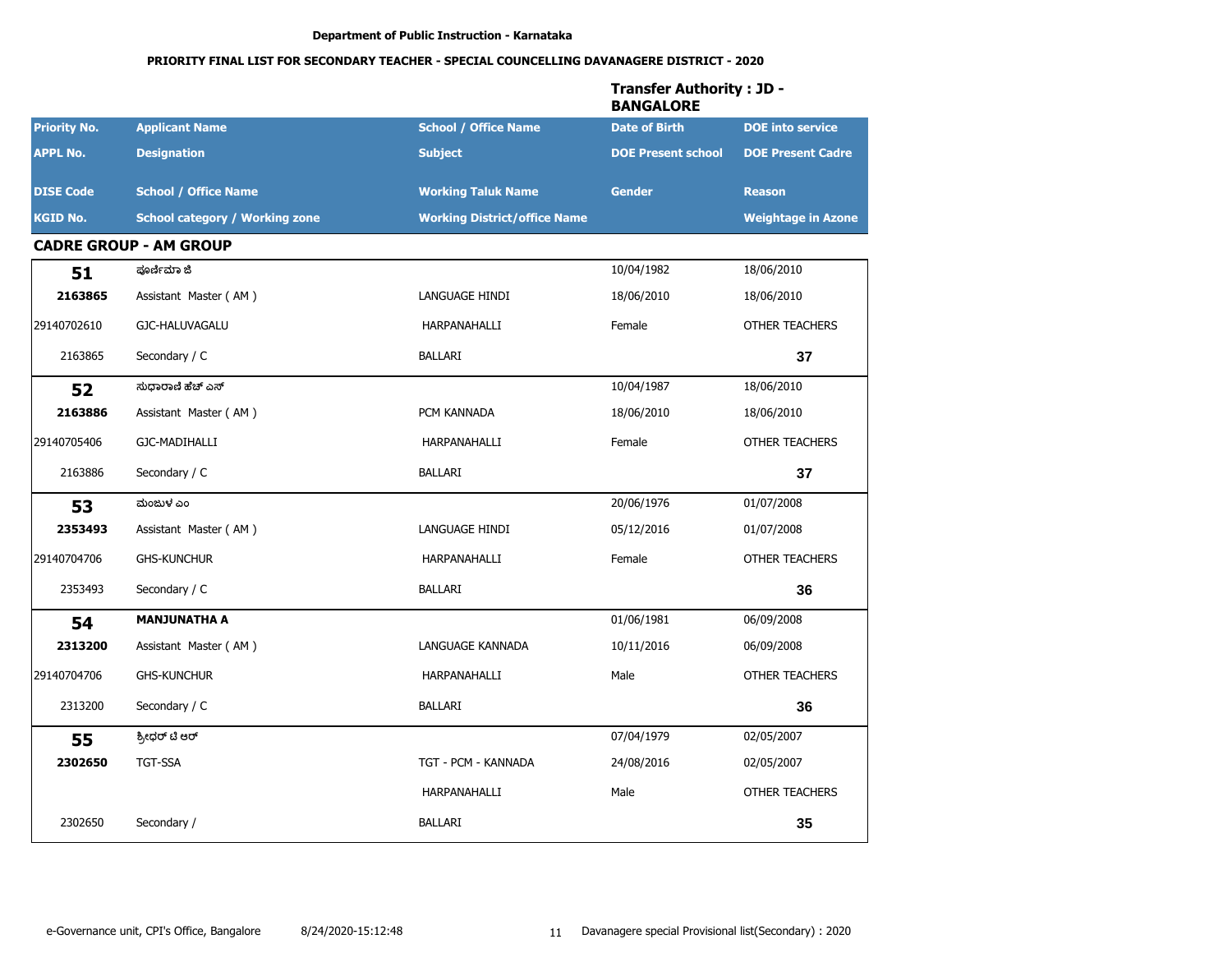|                     |                                       |                                     | <b>Transfer Authority: JD -</b><br><b>BANGALORE</b> |                           |
|---------------------|---------------------------------------|-------------------------------------|-----------------------------------------------------|---------------------------|
| <b>Priority No.</b> | <b>Applicant Name</b>                 | <b>School / Office Name</b>         | <b>Date of Birth</b>                                | <b>DOE</b> into service   |
| <b>APPL No.</b>     | <b>Designation</b>                    | <b>Subject</b>                      | <b>DOE Present school</b>                           | <b>DOE Present Cadre</b>  |
| <b>DISE Code</b>    | <b>School / Office Name</b>           | <b>Working Taluk Name</b>           | <b>Gender</b>                                       | <b>Reason</b>             |
| <b>KGID No.</b>     | <b>School category / Working zone</b> | <b>Working District/office Name</b> |                                                     | <b>Weightage in Azone</b> |
|                     | <b>CADRE GROUP - AM GROUP</b>         |                                     |                                                     |                           |
| 51                  | ಪೂರ್ಣಿಮಾ ಜಿ                           |                                     | 10/04/1982                                          | 18/06/2010                |
| 2163865             | Assistant Master (AM)                 | LANGUAGE HINDI                      | 18/06/2010                                          | 18/06/2010                |
| 29140702610         | GJC-HALUVAGALU                        | HARPANAHALLI                        | Female                                              | <b>OTHER TEACHERS</b>     |
| 2163865             | Secondary / C                         | <b>BALLARI</b>                      |                                                     | 37                        |
| 52                  | ಸುದಾರಾಣಿ ಹೆಚ್ ಎಸ್                     |                                     | 10/04/1987                                          | 18/06/2010                |
| 2163886             | Assistant Master (AM)                 | PCM KANNADA                         | 18/06/2010                                          | 18/06/2010                |
| 29140705406         | GJC-MADIHALLI                         | HARPANAHALLI                        | Female                                              | <b>OTHER TEACHERS</b>     |
| 2163886             | Secondary / C                         | BALLARI                             |                                                     | 37                        |
| 53                  | ಮಂಜುಳ ಎಂ                              |                                     | 20/06/1976                                          | 01/07/2008                |
| 2353493             | Assistant Master (AM)                 | LANGUAGE HINDI                      | 05/12/2016                                          | 01/07/2008                |
| 29140704706         | <b>GHS-KUNCHUR</b>                    | HARPANAHALLI                        | Female                                              | <b>OTHER TEACHERS</b>     |
| 2353493             | Secondary / C                         | <b>BALLARI</b>                      |                                                     | 36                        |
| 54                  | <b>MANJUNATHA A</b>                   |                                     | 01/06/1981                                          | 06/09/2008                |
| 2313200             | Assistant Master (AM)                 | LANGUAGE KANNADA                    | 10/11/2016                                          | 06/09/2008                |
| 29140704706         | <b>GHS-KUNCHUR</b>                    | HARPANAHALLI                        | Male                                                | <b>OTHER TEACHERS</b>     |
| 2313200             | Secondary / C                         | BALLARI                             |                                                     | 36                        |
| 55                  | ಶ್ರೀಧರ್ ಟಿ ಆರ್                        |                                     | 07/04/1979                                          | 02/05/2007                |
| 2302650             | TGT-SSA                               | TGT - PCM - KANNADA                 | 24/08/2016                                          | 02/05/2007                |
|                     |                                       | HARPANAHALLI                        | Male                                                | OTHER TEACHERS            |
| 2302650             | Secondary /                           | BALLARI                             |                                                     | 35                        |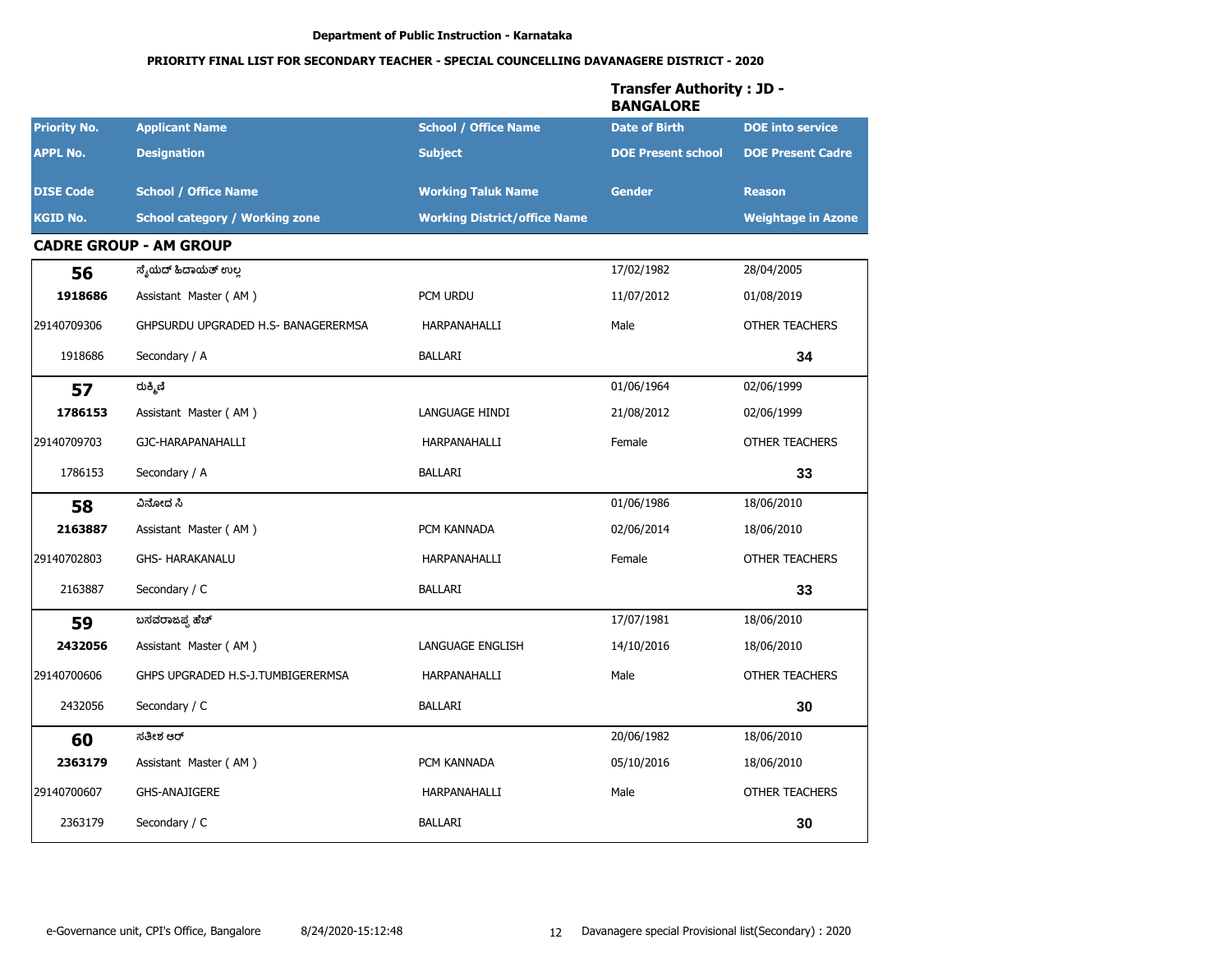|                     |                                       |                                     | <b>Transfer Authority: JD -</b><br><b>BANGALORE</b> | <b>DOE Present Cadre</b><br><b>Reason</b><br>34<br>OTHER TEACHERS<br>33<br>33<br>18/06/2010 |
|---------------------|---------------------------------------|-------------------------------------|-----------------------------------------------------|---------------------------------------------------------------------------------------------|
| <b>Priority No.</b> | <b>Applicant Name</b>                 | <b>School / Office Name</b>         | <b>Date of Birth</b>                                | <b>DOE</b> into service                                                                     |
| <b>APPL No.</b>     | <b>Designation</b>                    | <b>Subject</b>                      | <b>DOE Present school</b>                           |                                                                                             |
| <b>DISE Code</b>    | <b>School / Office Name</b>           | <b>Working Taluk Name</b>           | <b>Gender</b>                                       |                                                                                             |
| <b>KGID No.</b>     | <b>School category / Working zone</b> | <b>Working District/office Name</b> |                                                     | <b>Weightage in Azone</b>                                                                   |
|                     | <b>CADRE GROUP - AM GROUP</b>         |                                     |                                                     |                                                                                             |
| 56                  | ಸೈಯೆದ್ ಹಿದಾಯೆತ್ ಉಲ್ಲ                  |                                     | 17/02/1982                                          | 28/04/2005                                                                                  |
| 1918686             | Assistant Master (AM)                 | PCM URDU                            | 11/07/2012                                          | 01/08/2019                                                                                  |
| 29140709306         | GHPSURDU UPGRADED H.S- BANAGERERMSA   | HARPANAHALLI                        | Male                                                | <b>OTHER TEACHERS</b>                                                                       |
| 1918686             | Secondary / A                         | <b>BALLARI</b>                      |                                                     |                                                                                             |
| 57                  | ರುಕ್ಮಿಣಿ                              |                                     | 01/06/1964                                          | 02/06/1999                                                                                  |
| 1786153             | Assistant Master (AM)                 | LANGUAGE HINDI                      | 21/08/2012                                          | 02/06/1999                                                                                  |
| 29140709703         | GJC-HARAPANAHALLI                     | HARPANAHALLI                        | Female                                              |                                                                                             |
| 1786153             | Secondary / A                         | <b>BALLARI</b>                      |                                                     |                                                                                             |
| 58                  | ವಿನೋದ ಸಿ                              |                                     | 01/06/1986                                          | 18/06/2010                                                                                  |
| 2163887             | Assistant Master (AM)                 | PCM KANNADA                         | 02/06/2014                                          | 18/06/2010                                                                                  |
| 29140702803         | <b>GHS- HARAKANALU</b>                | HARPANAHALLI                        | Female                                              | <b>OTHER TEACHERS</b>                                                                       |
| 2163887             | Secondary / C                         | <b>BALLARI</b>                      |                                                     |                                                                                             |
| 59                  | ಬಸವರಾಜಪ್ಪ ಹೆಚ್                        |                                     | 17/07/1981                                          | 18/06/2010                                                                                  |
| 2432056             | Assistant Master (AM)                 | <b>LANGUAGE ENGLISH</b>             | 14/10/2016                                          |                                                                                             |
| 29140700606         | GHPS UPGRADED H.S-J.TUMBIGERERMSA     | HARPANAHALLI                        | Male                                                | <b>OTHER TEACHERS</b>                                                                       |
| 2432056             | Secondary / C                         | <b>BALLARI</b>                      |                                                     | 30                                                                                          |
| 60                  | ಸತೀಶ ಆರ್                              |                                     | 20/06/1982                                          | 18/06/2010                                                                                  |
| 2363179             | Assistant Master (AM)                 | PCM KANNADA                         | 05/10/2016                                          | 18/06/2010                                                                                  |
| 29140700607         | <b>GHS-ANAJIGERE</b>                  | HARPANAHALLI                        | Male                                                | OTHER TEACHERS                                                                              |
| 2363179             | Secondary / C                         | BALLARI                             |                                                     | 30                                                                                          |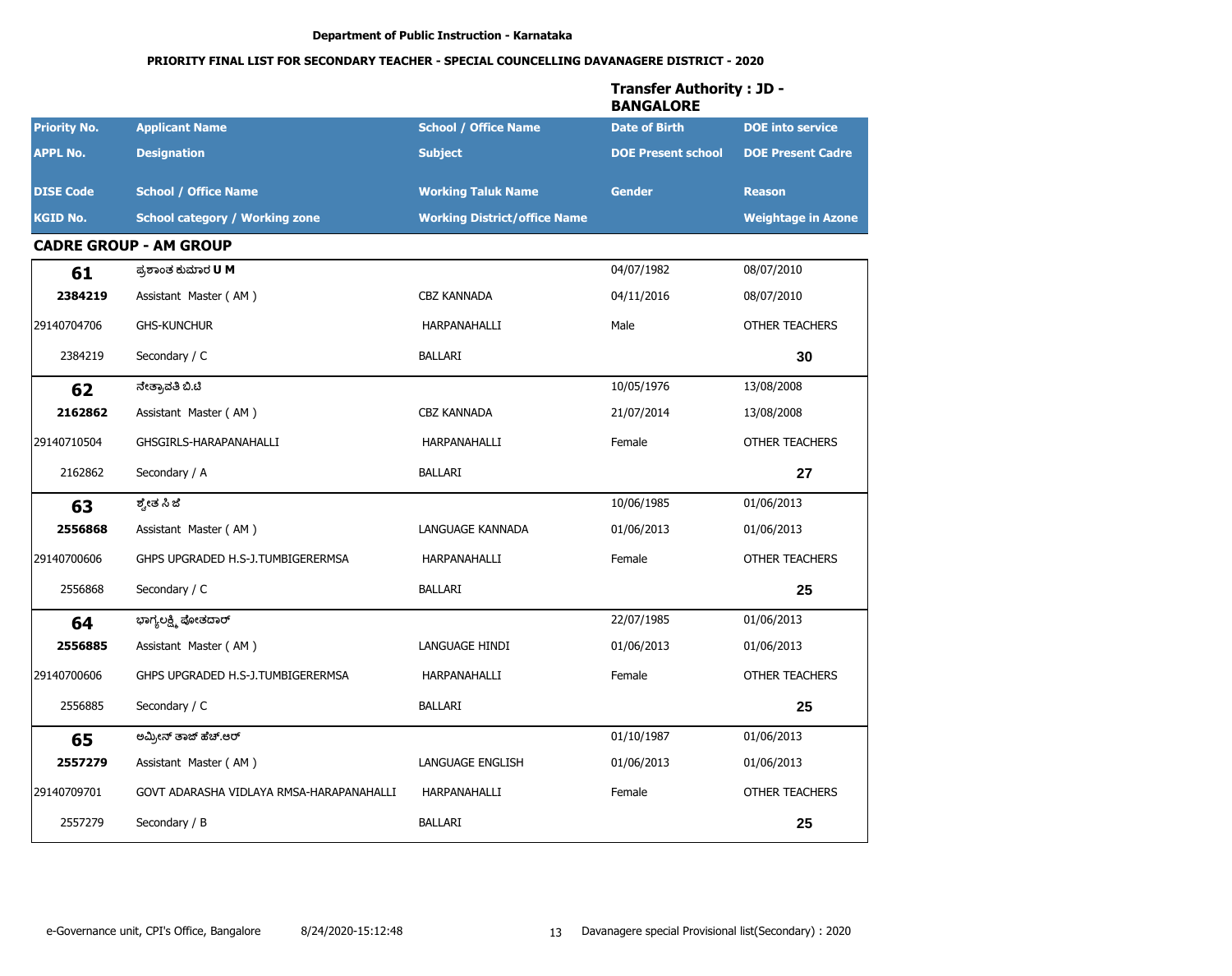|                     |                                          |                                     | <b>Transfer Authority: JD -</b><br><b>BANGALORE</b> |                           |
|---------------------|------------------------------------------|-------------------------------------|-----------------------------------------------------|---------------------------|
| <b>Priority No.</b> | <b>Applicant Name</b>                    | <b>School / Office Name</b>         | <b>Date of Birth</b>                                | <b>DOE</b> into service   |
| <b>APPL No.</b>     | <b>Designation</b>                       | <b>Subject</b>                      | <b>DOE Present school</b>                           | <b>DOE Present Cadre</b>  |
| <b>DISE Code</b>    | <b>School / Office Name</b>              | <b>Working Taluk Name</b>           | <b>Gender</b>                                       | <b>Reason</b>             |
| <b>KGID No.</b>     | <b>School category / Working zone</b>    | <b>Working District/office Name</b> |                                                     | <b>Weightage in Azone</b> |
|                     | <b>CADRE GROUP - AM GROUP</b>            |                                     |                                                     |                           |
| 61                  | ಪ್ರಶಾಂತ ಕುಮಾರ <b>U</b> M                 |                                     | 04/07/1982                                          | 08/07/2010                |
| 2384219             | Assistant Master (AM)                    | <b>CBZ KANNADA</b>                  | 04/11/2016                                          | 08/07/2010                |
| 29140704706         | <b>GHS-KUNCHUR</b>                       | HARPANAHALLI                        | Male                                                | <b>OTHER TEACHERS</b>     |
| 2384219             | Secondary / C                            | <b>BALLARI</b>                      |                                                     | 30                        |
| 62                  | ನೇತ್ರಾವತಿ ಬಿ.ಟಿ                          |                                     | 10/05/1976                                          | 13/08/2008                |
| 2162862             | Assistant Master (AM)                    | <b>CBZ KANNADA</b>                  | 21/07/2014                                          | 13/08/2008                |
| 29140710504         | GHSGIRLS-HARAPANAHALLI                   | HARPANAHALLI                        | Female                                              | <b>OTHER TEACHERS</b>     |
| 2162862             | Secondary / A                            | <b>BALLARI</b>                      |                                                     | 27                        |
| 63                  | ಶ್ವೇತ ಸಿ ಜೆ                              |                                     | 10/06/1985                                          | 01/06/2013                |
| 2556868             | Assistant Master (AM)                    | LANGUAGE KANNADA                    | 01/06/2013                                          | 01/06/2013                |
| 29140700606         | GHPS UPGRADED H.S-J.TUMBIGERERMSA        | HARPANAHALLI                        | Female                                              | <b>OTHER TEACHERS</b>     |
| 2556868             | Secondary / C                            | <b>BALLARI</b>                      |                                                     | 25                        |
| 64                  | ಭಾಗ್ಯಲಕ್ಷ್ಮಿ ಪೋತದಾರ್                     |                                     | 22/07/1985                                          | 01/06/2013                |
| 2556885             | Assistant Master (AM)                    | LANGUAGE HINDI                      | 01/06/2013                                          | 01/06/2013                |
| 29140700606         | GHPS UPGRADED H.S-J.TUMBIGERERMSA        | HARPANAHALLI                        | Female                                              | <b>OTHER TEACHERS</b>     |
| 2556885             | Secondary / C                            | <b>BALLARI</b>                      |                                                     | 25                        |
| 65                  | ಅಮ್ರೀನ್ ತಾಜ್ ಹೆಚ್.ಆರ್                    |                                     | 01/10/1987                                          | 01/06/2013                |
| 2557279             | Assistant Master (AM)                    | LANGUAGE ENGLISH                    | 01/06/2013                                          | 01/06/2013                |
| 29140709701         | GOVT ADARASHA VIDLAYA RMSA-HARAPANAHALLI | HARPANAHALLI                        | Female                                              | OTHER TEACHERS            |
| 2557279             | Secondary / B                            | BALLARI                             |                                                     | 25                        |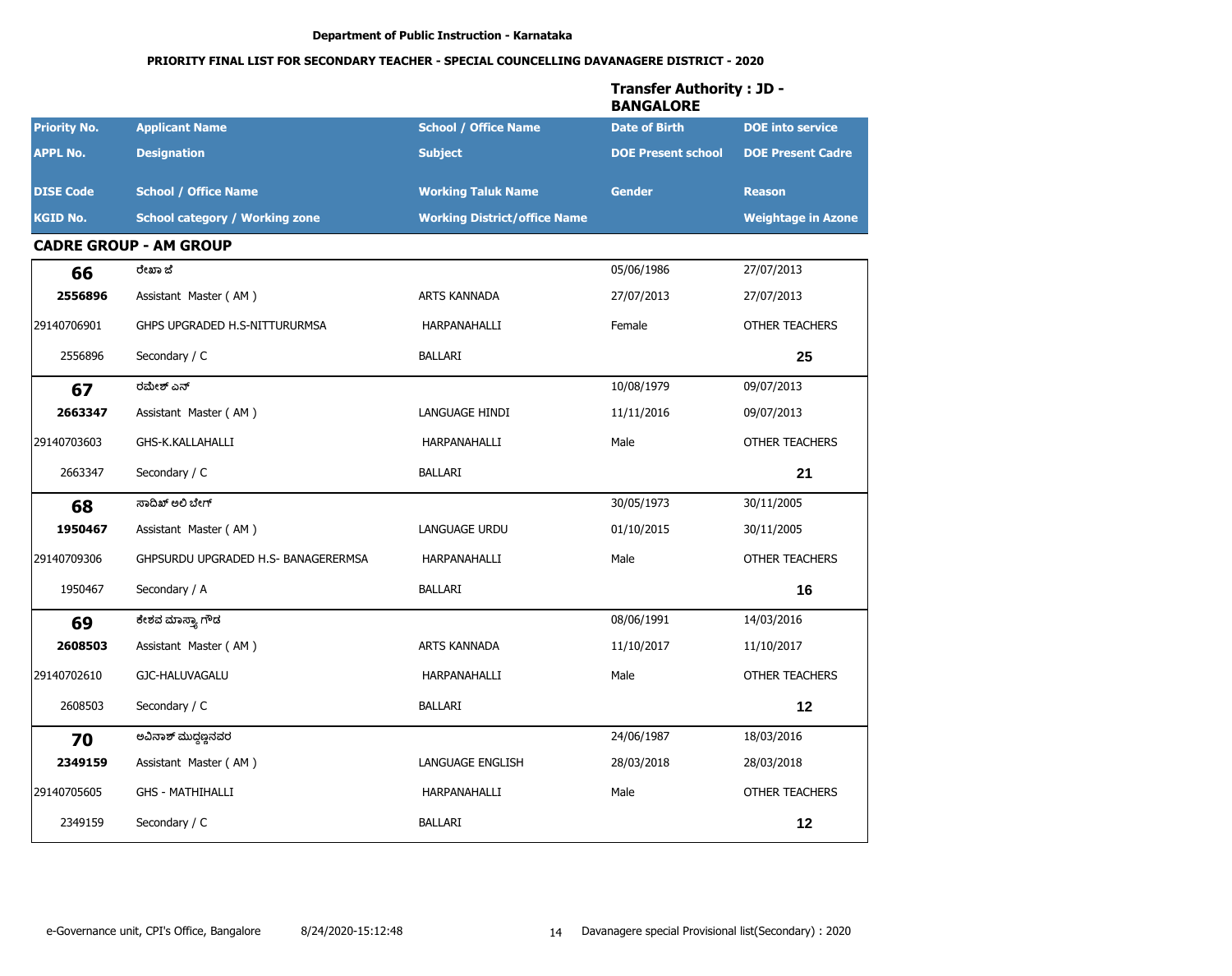|                     |                                       |                                     | <b>Transfer Authority: JD -</b><br><b>BANGALORE</b> |                           |
|---------------------|---------------------------------------|-------------------------------------|-----------------------------------------------------|---------------------------|
| <b>Priority No.</b> | <b>Applicant Name</b>                 | <b>School / Office Name</b>         | <b>Date of Birth</b>                                | <b>DOE</b> into service   |
| <b>APPL No.</b>     | <b>Designation</b>                    | <b>Subject</b>                      | <b>DOE Present school</b>                           | <b>DOE Present Cadre</b>  |
| <b>DISE Code</b>    | <b>School / Office Name</b>           | <b>Working Taluk Name</b>           | <b>Gender</b>                                       | <b>Reason</b>             |
| <b>KGID No.</b>     | <b>School category / Working zone</b> | <b>Working District/office Name</b> |                                                     | <b>Weightage in Azone</b> |
|                     | <b>CADRE GROUP - AM GROUP</b>         |                                     |                                                     |                           |
| 66                  | ರೇಖಾ ಜೆ                               |                                     | 05/06/1986                                          | 27/07/2013                |
| 2556896             | Assistant Master (AM)                 | <b>ARTS KANNADA</b>                 | 27/07/2013                                          | 27/07/2013                |
| 29140706901         | GHPS UPGRADED H.S-NITTURURMSA         | HARPANAHALLI                        | Female                                              | <b>OTHER TEACHERS</b>     |
| 2556896             | Secondary / C                         | <b>BALLARI</b>                      |                                                     | 25                        |
| 67                  | ರಮೇಶ್ ಎನ್                             |                                     | 10/08/1979                                          | 09/07/2013                |
| 2663347             | Assistant Master (AM)                 | LANGUAGE HINDI                      | 11/11/2016                                          | 09/07/2013                |
| 29140703603         | GHS-K.KALLAHALLI                      | HARPANAHALLI                        | Male                                                | <b>OTHER TEACHERS</b>     |
| 2663347             | Secondary / C                         | <b>BALLARI</b>                      |                                                     | 21                        |
| 68                  | ಸಾದಿಖ್ ಅಲಿ ಬೇಗ್                       |                                     | 30/05/1973                                          | 30/11/2005                |
| 1950467             | Assistant Master (AM)                 | <b>LANGUAGE URDU</b>                | 01/10/2015                                          | 30/11/2005                |
| 29140709306         | GHPSURDU UPGRADED H.S- BANAGERERMSA   | HARPANAHALLI                        | Male                                                | <b>OTHER TEACHERS</b>     |
| 1950467             | Secondary / A                         | <b>BALLARI</b>                      |                                                     | 16                        |
| 69                  | ಕೇಶವ ಮಾಸ್ತ್ಯಾ ಗೌಡ                     |                                     | 08/06/1991                                          | 14/03/2016                |
| 2608503             | Assistant Master (AM)                 | <b>ARTS KANNADA</b>                 | 11/10/2017                                          | 11/10/2017                |
| 29140702610         | GJC-HALUVAGALU                        | HARPANAHALLI                        | Male                                                | <b>OTHER TEACHERS</b>     |
| 2608503             | Secondary / C                         | <b>BALLARI</b>                      |                                                     | 12                        |
| 70                  | ಅವಿನಾಶ್ ಮುದ್ದಣ್ಣನವರ                   |                                     | 24/06/1987                                          | 18/03/2016                |
| 2349159             | Assistant Master (AM)                 | LANGUAGE ENGLISH                    | 28/03/2018                                          | 28/03/2018                |
| 29140705605         | <b>GHS - MATHIHALLI</b>               | HARPANAHALLI                        | Male                                                | OTHER TEACHERS            |
| 2349159             | Secondary / C                         | <b>BALLARI</b>                      |                                                     | 12                        |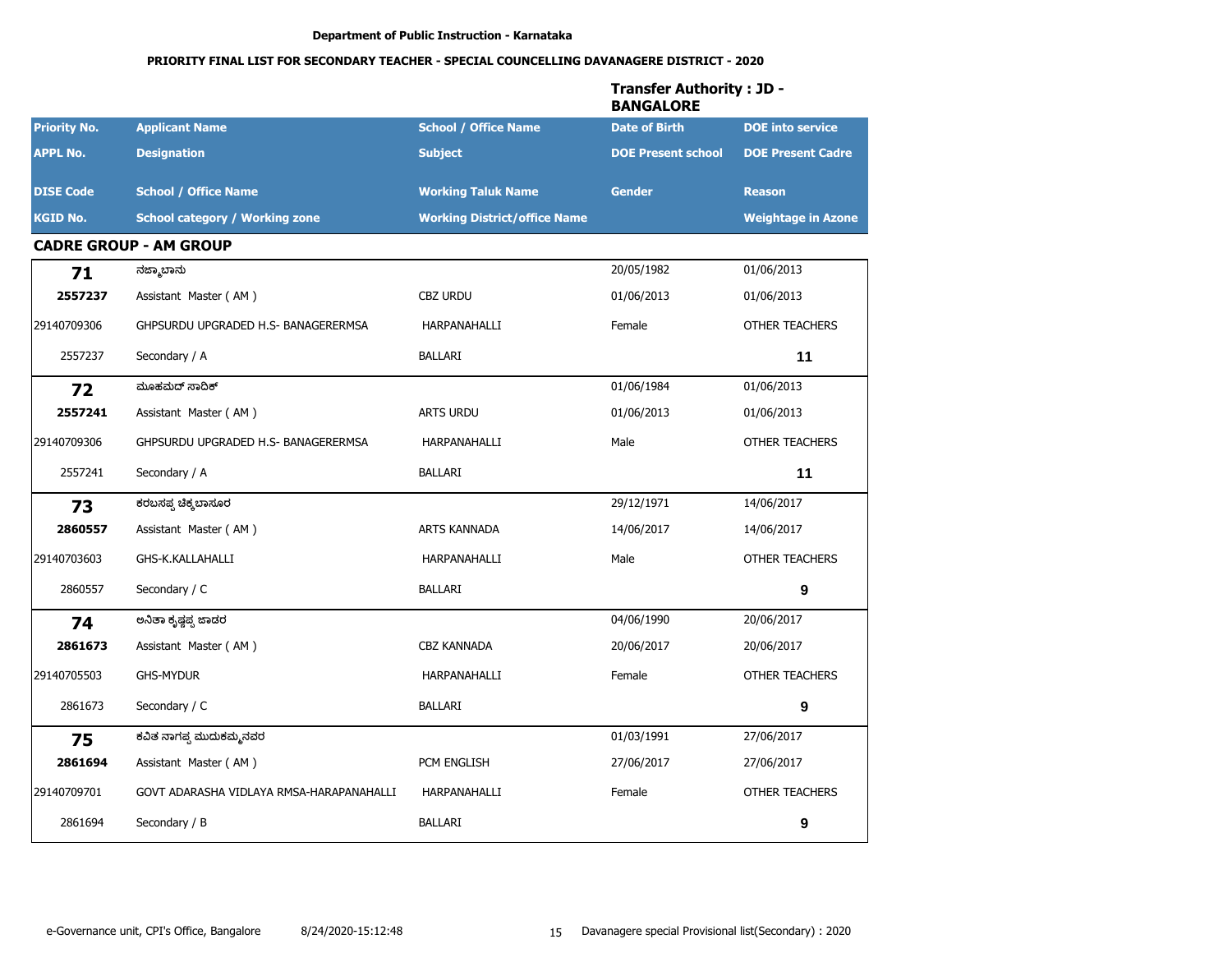|                     |                                          |                                     | <b>Transfer Authority: JD -</b><br><b>BANGALORE</b> |                           |
|---------------------|------------------------------------------|-------------------------------------|-----------------------------------------------------|---------------------------|
| <b>Priority No.</b> | <b>Applicant Name</b>                    | <b>School / Office Name</b>         | <b>Date of Birth</b>                                | <b>DOE</b> into service   |
| <b>APPL No.</b>     | <b>Designation</b>                       | <b>Subject</b>                      | <b>DOE Present school</b>                           | <b>DOE Present Cadre</b>  |
| <b>DISE Code</b>    | <b>School / Office Name</b>              | <b>Working Taluk Name</b>           | <b>Gender</b>                                       | <b>Reason</b>             |
| <b>KGID No.</b>     | <b>School category / Working zone</b>    | <b>Working District/office Name</b> |                                                     | <b>Weightage in Azone</b> |
|                     | <b>CADRE GROUP - AM GROUP</b>            |                                     |                                                     |                           |
| 71                  | ನಜ್ಮಾಬಾನು                                |                                     | 20/05/1982                                          | 01/06/2013                |
| 2557237             | Assistant Master (AM)                    | <b>CBZ URDU</b>                     | 01/06/2013                                          | 01/06/2013                |
| 29140709306         | GHPSURDU UPGRADED H.S- BANAGERERMSA      | HARPANAHALLI                        | Female                                              | <b>OTHER TEACHERS</b>     |
| 2557237             | Secondary / A                            | BALLARI                             |                                                     | 11                        |
| 72                  | ಮೂಹಮದ್ ಸಾದಿಕ್                            |                                     | 01/06/1984                                          | 01/06/2013                |
| 2557241             | Assistant Master (AM)                    | <b>ARTS URDU</b>                    | 01/06/2013                                          | 01/06/2013                |
| 29140709306         | GHPSURDU UPGRADED H.S- BANAGERERMSA      | HARPANAHALLI                        | Male                                                | <b>OTHER TEACHERS</b>     |
| 2557241             | Secondary / A                            | BALLARI                             |                                                     | 11                        |
| 73                  | ಕರಬಸಪ್ಪ ಚಿಕ್ಕಬಾಸೂರ                       |                                     | 29/12/1971                                          | 14/06/2017                |
| 2860557             | Assistant Master (AM)                    | <b>ARTS KANNADA</b>                 | 14/06/2017                                          | 14/06/2017                |
| 29140703603         | GHS-K.KALLAHALLI                         | HARPANAHALLI                        | Male                                                | <b>OTHER TEACHERS</b>     |
| 2860557             | Secondary / C                            | BALLARI                             |                                                     | $\boldsymbol{9}$          |
| 74                  | ಅನಿತಾ ಕೃಷ್ಣಪ್ಪ ಜಾಡರ                      |                                     | 04/06/1990                                          | 20/06/2017                |
| 2861673             | Assistant Master (AM)                    | <b>CBZ KANNADA</b>                  | 20/06/2017                                          | 20/06/2017                |
| 29140705503         | <b>GHS-MYDUR</b>                         | HARPANAHALLI                        | Female                                              | <b>OTHER TEACHERS</b>     |
| 2861673             | Secondary / C                            | <b>BALLARI</b>                      |                                                     | 9                         |
| 75                  | ಕವಿತ ನಾಗಪ್ಪ ಮುದುಕಮ್ಮನವರ                  |                                     | 01/03/1991                                          | 27/06/2017                |
| 2861694             | Assistant Master (AM)                    | PCM ENGLISH                         | 27/06/2017                                          | 27/06/2017                |
| 29140709701         | GOVT ADARASHA VIDLAYA RMSA-HARAPANAHALLI | HARPANAHALLI                        | Female                                              | OTHER TEACHERS            |
| 2861694             | Secondary / B                            | BALLARI                             |                                                     | 9                         |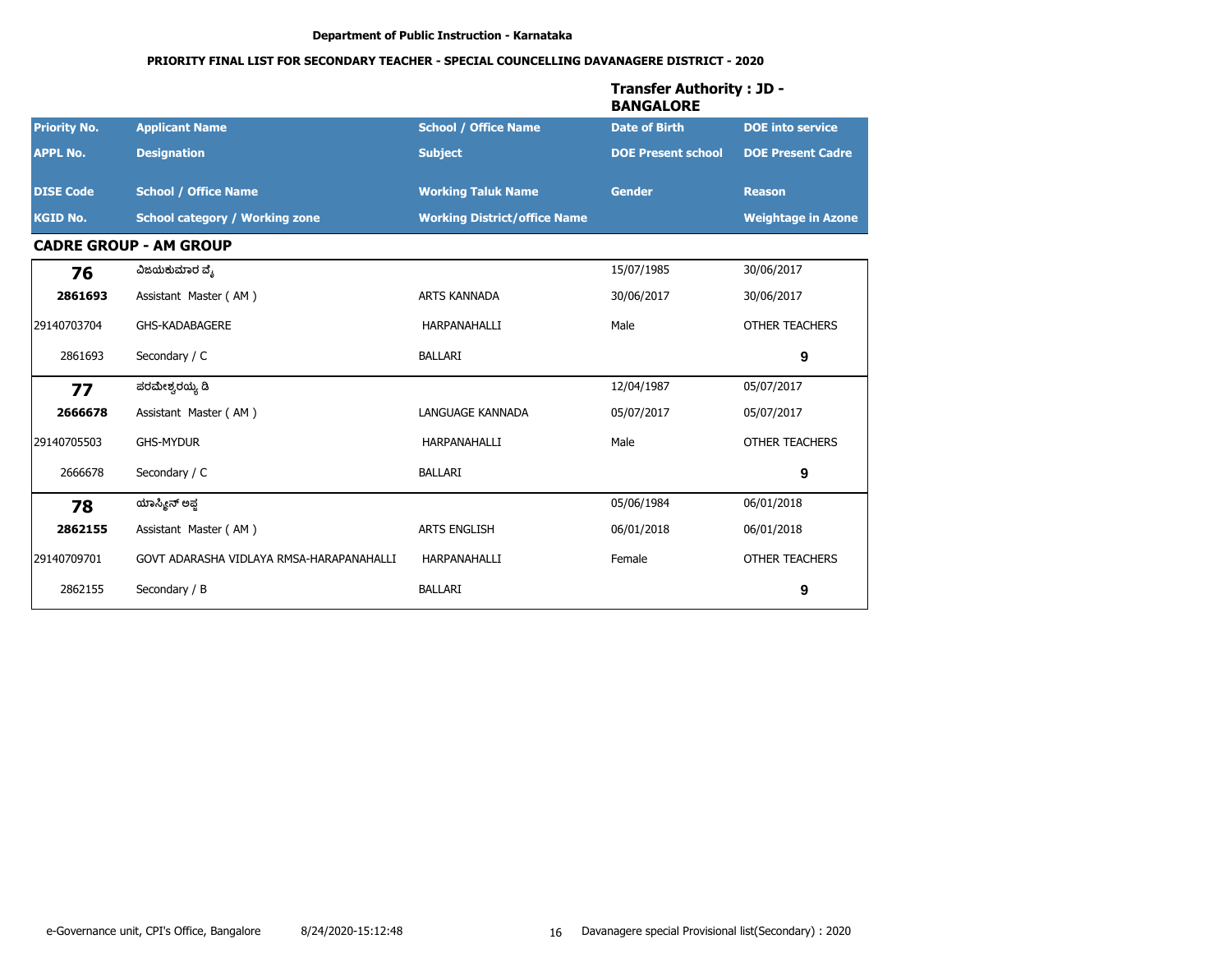|                     |                                          |                                     | <b>Transfer Authority : JD -</b><br><b>BANGALORE</b> |                           |
|---------------------|------------------------------------------|-------------------------------------|------------------------------------------------------|---------------------------|
| <b>Priority No.</b> | <b>Applicant Name</b>                    | <b>School / Office Name</b>         | <b>Date of Birth</b>                                 | <b>DOE</b> into service   |
| <b>APPL No.</b>     | <b>Designation</b>                       | <b>Subject</b>                      | <b>DOE Present school</b>                            | <b>DOE Present Cadre</b>  |
| <b>DISE Code</b>    | <b>School / Office Name</b>              | <b>Working Taluk Name</b>           | <b>Gender</b>                                        | <b>Reason</b>             |
| <b>KGID No.</b>     | <b>School category / Working zone</b>    | <b>Working District/office Name</b> |                                                      | <b>Weightage in Azone</b> |
|                     | <b>CADRE GROUP - AM GROUP</b>            |                                     |                                                      |                           |
| 76                  | ವಿಜಯಕುಮಾರ ವ್ಯೆ                           |                                     | 15/07/1985                                           | 30/06/2017                |
| 2861693             | Assistant Master (AM)                    | <b>ARTS KANNADA</b>                 | 30/06/2017                                           | 30/06/2017                |
| 29140703704         | <b>GHS-KADABAGERE</b>                    | HARPANAHALLI                        | Male                                                 | <b>OTHER TEACHERS</b>     |
| 2861693             | Secondary / C                            | <b>BALLARI</b>                      |                                                      | 9                         |
| 77                  | ಪರಮೇಶ್ವರಯ್ಯ ಡಿ                           |                                     | 12/04/1987                                           | 05/07/2017                |
| 2666678             | Assistant Master (AM)                    | LANGUAGE KANNADA                    | 05/07/2017                                           | 05/07/2017                |
| 29140705503         | <b>GHS-MYDUR</b>                         | HARPANAHALLI                        | Male                                                 | <b>OTHER TEACHERS</b>     |
| 2666678             | Secondary / C                            | <b>BALLARI</b>                      |                                                      | 9                         |
| 78                  | ಯಾಸ್ಮೀನ್ ಅಫ್ತ                            |                                     | 05/06/1984                                           | 06/01/2018                |
| 2862155             | Assistant Master (AM)                    | <b>ARTS ENGLISH</b>                 | 06/01/2018                                           | 06/01/2018                |
| 29140709701         | GOVT ADARASHA VIDLAYA RMSA-HARAPANAHALLI | HARPANAHALLI                        | Female                                               | OTHER TEACHERS            |
| 2862155             | Secondary / B                            | <b>BALLARI</b>                      |                                                      | 9                         |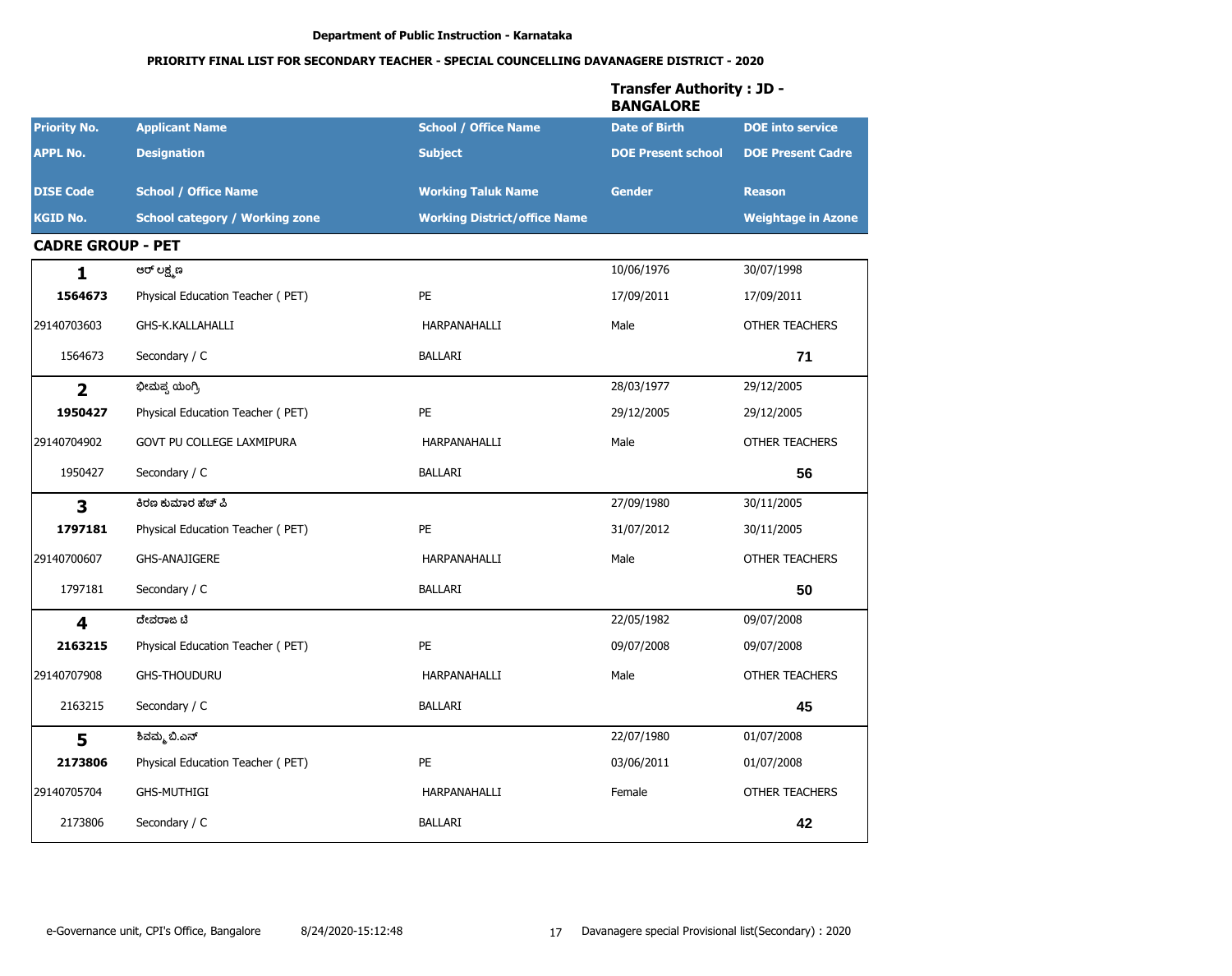|                          |                                       |                                     | <b>Transfer Authority: JD -</b><br><b>BANGALORE</b> |                           |
|--------------------------|---------------------------------------|-------------------------------------|-----------------------------------------------------|---------------------------|
| <b>Priority No.</b>      | <b>Applicant Name</b>                 | <b>School / Office Name</b>         | <b>Date of Birth</b>                                | <b>DOE</b> into service   |
| <b>APPL No.</b>          | <b>Designation</b>                    | <b>Subject</b>                      | <b>DOE Present school</b>                           | <b>DOE Present Cadre</b>  |
| <b>DISE Code</b>         | <b>School / Office Name</b>           | <b>Working Taluk Name</b>           | <b>Gender</b>                                       | <b>Reason</b>             |
| <b>KGID No.</b>          | <b>School category / Working zone</b> | <b>Working District/office Name</b> |                                                     | <b>Weightage in Azone</b> |
| <b>CADRE GROUP - PET</b> |                                       |                                     |                                                     |                           |
| 1                        | ಆರ್ ಲಕ್ಷ್ಮಣ                           |                                     | 10/06/1976                                          | 30/07/1998                |
| 1564673                  | Physical Education Teacher (PET)      | <b>PE</b>                           | 17/09/2011                                          | 17/09/2011                |
| 29140703603              | GHS-K.KALLAHALLI                      | HARPANAHALLI                        | Male                                                | <b>OTHER TEACHERS</b>     |
| 1564673                  | Secondary / C                         | <b>BALLARI</b>                      |                                                     | 71                        |
| $\overline{2}$           | ಭೀಮಪ್ಪ ಯಂಗ್ರಿ                         |                                     | 28/03/1977                                          | 29/12/2005                |
| 1950427                  | Physical Education Teacher (PET)      | <b>PE</b>                           | 29/12/2005                                          | 29/12/2005                |
| 29140704902              | GOVT PU COLLEGE LAXMIPURA             | HARPANAHALLI                        | Male                                                | <b>OTHER TEACHERS</b>     |
| 1950427                  | Secondary / C                         | BALLARI                             |                                                     | 56                        |
| $\overline{\mathbf{3}}$  | ಕಿರಣ ಕುಮಾರ ಹೆಚ್ ಪಿ                    |                                     | 27/09/1980                                          | 30/11/2005                |
| 1797181                  | Physical Education Teacher (PET)      | <b>PE</b>                           | 31/07/2012                                          | 30/11/2005                |
| 29140700607              | <b>GHS-ANAJIGERE</b>                  | HARPANAHALLI                        | Male                                                | OTHER TEACHERS            |
| 1797181                  | Secondary / C                         | <b>BALLARI</b>                      |                                                     | 50                        |
| $\overline{\mathbf{4}}$  | ದೇವರಾಜ ಟಿ                             |                                     | 22/05/1982                                          | 09/07/2008                |
| 2163215                  | Physical Education Teacher (PET)      | <b>PE</b>                           | 09/07/2008                                          | 09/07/2008                |
| 29140707908              | <b>GHS-THOUDURU</b>                   | HARPANAHALLI                        | Male                                                | <b>OTHER TEACHERS</b>     |
| 2163215                  | Secondary / C                         | BALLARI                             |                                                     | 45                        |
| 5                        | ಶಿವಮ್ಮ ಬಿ.ಎನ್                         |                                     | 22/07/1980                                          | 01/07/2008                |
| 2173806                  | Physical Education Teacher (PET)      | PE                                  | 03/06/2011                                          | 01/07/2008                |
| 29140705704              | <b>GHS-MUTHIGI</b>                    | HARPANAHALLI                        | Female                                              | OTHER TEACHERS            |
| 2173806                  | Secondary / C                         | BALLARI                             |                                                     | 42                        |